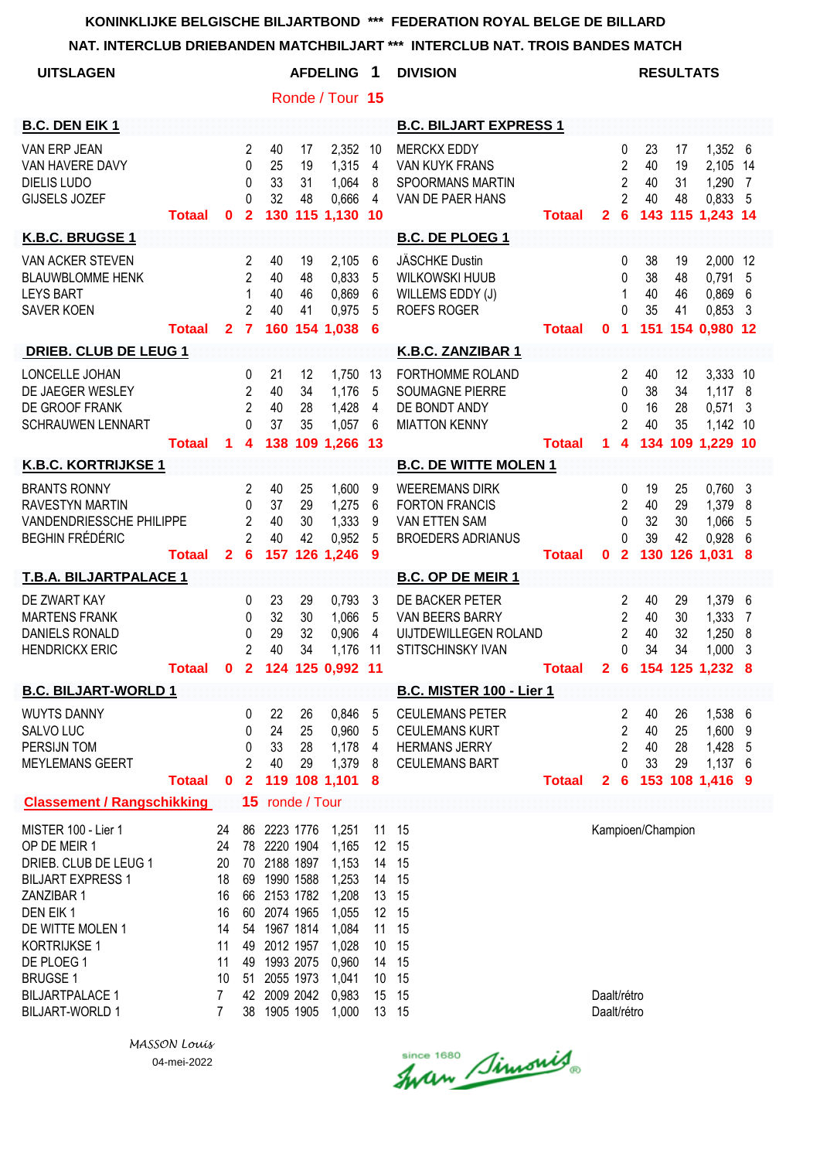#### **NAT. INTERCLUB DRIEBANDEN MATCHBILJART \*\*\* INTERCLUB NAT. TROIS BANDES MATCH**

| <b>UITSLAGEN</b>                                                                                                                                                                                                                            |               |                                                                                 |                                                                           |                                                                                                                                                                                           |                      | <b>AFDELING</b>                                                                                          | 1<br><b>DIVISION</b><br><b>RESULTATS</b>                                         |                                                                                                  |               |                            |                                                               |                             |                                 |                                                             |                       |
|---------------------------------------------------------------------------------------------------------------------------------------------------------------------------------------------------------------------------------------------|---------------|---------------------------------------------------------------------------------|---------------------------------------------------------------------------|-------------------------------------------------------------------------------------------------------------------------------------------------------------------------------------------|----------------------|----------------------------------------------------------------------------------------------------------|----------------------------------------------------------------------------------|--------------------------------------------------------------------------------------------------|---------------|----------------------------|---------------------------------------------------------------|-----------------------------|---------------------------------|-------------------------------------------------------------|-----------------------|
|                                                                                                                                                                                                                                             |               |                                                                                 |                                                                           |                                                                                                                                                                                           |                      | Ronde / Tour 15                                                                                          |                                                                                  |                                                                                                  |               |                            |                                                               |                             |                                 |                                                             |                       |
| <b>B.C. DEN EIK 1</b>                                                                                                                                                                                                                       |               |                                                                                 |                                                                           |                                                                                                                                                                                           |                      |                                                                                                          |                                                                                  | <b>B.C. BILJART EXPRESS 1</b>                                                                    |               |                            |                                                               |                             |                                 |                                                             |                       |
| VAN ERP JEAN<br>VAN HAVERE DAVY<br><b>DIELIS LUDO</b><br><b>GIJSELS JOZEF</b>                                                                                                                                                               | <b>Totaal</b> | 0                                                                               | 2<br>0<br>$\Omega$<br>$\Omega$<br>$\mathbf{2}$                            | 40<br>25<br>33<br>32<br>130                                                                                                                                                               | 17<br>19<br>31<br>48 | 2,352<br>1,315<br>1,064<br>0,666<br>115 1,130                                                            | -10<br>4<br>8<br>4<br>10                                                         | <b>MERCKX EDDY</b><br><b>VAN KUYK FRANS</b><br>SPOORMANS MARTIN<br>VAN DE PAER HANS              | <b>Totaal</b> | $\mathbf{2}$               | 0<br>$\overline{c}$<br>$\overline{2}$<br>2<br>6               | 23<br>40<br>40<br>40        | 17<br>19<br>31<br>48            | 1,352 6<br>2,105<br>1,290<br>0,833 5<br>143 115 1,243 14    | 14<br>7               |
| K.B.C. BRUGSE 1                                                                                                                                                                                                                             |               |                                                                                 |                                                                           |                                                                                                                                                                                           |                      |                                                                                                          |                                                                                  | <b>B.C. DE PLOEG 1</b>                                                                           |               |                            |                                                               |                             |                                 |                                                             |                       |
| VAN ACKER STEVEN<br><b>BLAUWBLOMME HENK</b><br><b>LEYS BART</b><br><b>SAVER KOEN</b>                                                                                                                                                        | <b>Totaal</b> | 2 <sup>1</sup>                                                                  | $\overline{2}$<br>$\overline{2}$<br>1<br>$\overline{2}$<br>$\overline{7}$ | 40<br>40<br>40<br>40                                                                                                                                                                      | 19<br>48<br>46<br>41 | 2,105<br>0,833<br>0,869<br>0,975<br>160 154 1,038                                                        | 6<br>5<br>6<br>5<br>6                                                            | <b>JÄSCHKE Dustin</b><br><b>WILKOWSKI HUUB</b><br>WILLEMS EDDY (J)<br><b>ROEFS ROGER</b>         | <b>Totaal</b> | 0                          | 0<br>0<br>1<br>$\Omega$<br>1                                  | 38<br>38<br>40<br>35        | 19<br>48<br>46<br>41            | 2,000<br>0,791<br>0,869<br>0,853<br>151 154 0,980 12        | 12<br>5<br>6<br>3     |
| <b>DRIEB. CLUB DE LEUG 1</b>                                                                                                                                                                                                                |               |                                                                                 |                                                                           |                                                                                                                                                                                           |                      |                                                                                                          |                                                                                  | K.B.C. ZANZIBAR 1                                                                                |               |                            |                                                               |                             |                                 |                                                             |                       |
| LONCELLE JOHAN<br>DE JAEGER WESLEY<br>DE GROOF FRANK<br><b>SCHRAUWEN LENNART</b>                                                                                                                                                            | <b>Totaal</b> | 1.                                                                              | 0<br>$\overline{c}$<br>$\overline{2}$<br>$\Omega$<br>4                    | 21<br>40<br>40<br>37<br>138                                                                                                                                                               | 12<br>34<br>28<br>35 | 1,750<br>1,176<br>1,428<br>1,057<br>109 1,266 13                                                         | 13<br>5<br>4<br>6                                                                | FORTHOMME ROLAND<br><b>SOUMAGNE PIERRE</b><br>DE BONDT ANDY<br><b>MIATTON KENNY</b>              | <b>Totaal</b> | 1.                         | 2<br>0<br>0<br>$\overline{2}$<br>4                            | 40<br>38<br>16<br>40        | 12<br>34<br>28<br>35<br>134 109 | 3,333 10<br>1,117 8<br>0,571<br>1,142 10<br>1,229 10        | 3                     |
| <b>K.B.C. KORTRIJKSE 1</b>                                                                                                                                                                                                                  |               |                                                                                 |                                                                           |                                                                                                                                                                                           |                      |                                                                                                          |                                                                                  | <b>B.C. DE WITTE MOLEN 1</b>                                                                     |               |                            |                                                               |                             |                                 |                                                             |                       |
| <b>BRANTS RONNY</b><br><b>RAVESTYN MARTIN</b><br>VANDENDRIESSCHE PHILIPPE<br><b>BEGHIN FRÉDÉRIC</b>                                                                                                                                         | <b>Totaal</b> | $\mathbf{2}$                                                                    | 2<br>0<br>$\overline{2}$<br>$\overline{2}$<br>6                           | 40<br>37<br>40<br>40<br>157                                                                                                                                                               | 25<br>29<br>30<br>42 | 1,600<br>1,275<br>1,333<br>0,952<br>126 1,246                                                            | 9<br>6<br>9<br>5<br>9                                                            | <b>WEEREMANS DIRK</b><br><b>FORTON FRANCIS</b><br>VAN ETTEN SAM<br><b>BROEDERS ADRIANUS</b>      | <b>Totaal</b> | 0                          | 0<br>2<br>0<br>$\Omega$<br>$\mathbf{2}$                       | 19<br>40<br>32<br>39<br>130 | 25<br>29<br>30<br>42            | 0,760<br>1,379<br>1,066<br>0,928<br>126 1,031               | 3<br>8<br>5<br>6<br>8 |
| T.B.A. BILJARTPALACE 1                                                                                                                                                                                                                      |               |                                                                                 |                                                                           |                                                                                                                                                                                           |                      |                                                                                                          |                                                                                  | <b>B.C. OP DE MEIR 1</b>                                                                         |               |                            |                                                               |                             |                                 |                                                             |                       |
| DE ZWART KAY<br><b>MARTENS FRANK</b><br><b>DANIELS RONALD</b><br><b>HENDRICKX ERIC</b>                                                                                                                                                      | Totaal 0      |                                                                                 | 0<br>0<br>0<br>$\mathbf{2}$<br>$\overline{2}$                             | 23<br>32<br>29<br>40                                                                                                                                                                      | 29<br>30<br>32<br>34 | 0,793<br>1,066<br>0,906<br>1,176<br>124 125 0,992 11                                                     | 3<br>5<br>4<br>11                                                                | DE BACKER PETER<br>VAN BEERS BARRY<br>UIJTDEWILLEGEN ROLAND<br><b>STITSCHINSKY IVAN</b>          | Totaal        | 2 <sub>6</sub>             | 2<br>$\overline{2}$<br>$\overline{2}$<br>$\Omega$             | 40<br>40<br>40<br>34        | 29<br>30<br>32<br>34            | 1,379<br>1,333<br>1,250<br>1,000<br>154 125 1,232           | 6<br>7<br>8<br>3<br>8 |
| <b>B.C. BILJART-WORLD 1</b>                                                                                                                                                                                                                 |               |                                                                                 |                                                                           |                                                                                                                                                                                           |                      |                                                                                                          |                                                                                  | <b>B.C. MISTER 100 - Lier 1</b>                                                                  |               |                            |                                                               |                             |                                 |                                                             |                       |
| <b>WUYTS DANNY</b><br>SALVO LUC<br>PERSIJN TOM<br><b>MEYLEMANS GEERT</b>                                                                                                                                                                    | <b>Totaal</b> | $\bf{0}$                                                                        | 0<br>0<br>0<br>$\overline{2}$<br>$\overline{2}$                           | 22<br>24<br>33<br>40                                                                                                                                                                      | 26<br>25<br>28<br>29 | 0,846<br>0,960<br>1,178<br>1,379<br>119 108 1,101                                                        | 5<br>5<br>4<br>8<br>8                                                            | <b>CEULEMANS PETER</b><br><b>CEULEMANS KURT</b><br><b>HERMANS JERRY</b><br><b>CEULEMANS BART</b> | <b>Totaal</b> | $\mathbf{2}$               | 2<br>$\overline{2}$<br>$\overline{2}$<br>0<br>$6\phantom{1}6$ | 40<br>40<br>40<br>33        | 26<br>25<br>28<br>29            | 1,538 6<br>1,600 9<br>1,428 5<br>1,137 6<br>153 108 1,416 9 |                       |
| <b>Classement / Rangschikking</b>                                                                                                                                                                                                           |               |                                                                                 | 15                                                                        |                                                                                                                                                                                           | ronde / Tour         |                                                                                                          |                                                                                  |                                                                                                  |               |                            |                                                               |                             |                                 |                                                             |                       |
| MISTER 100 - Lier 1<br>OP DE MEIR 1<br>DRIEB. CLUB DE LEUG 1<br><b>BILJART EXPRESS 1</b><br>ZANZIBAR 1<br>DEN EIK1<br>DE WITTE MOLEN 1<br>KORTRIJKSE 1<br>DE PLOEG 1<br><b>BRUGSE 1</b><br><b>BILJARTPALACE 1</b><br><b>BILJART-WORLD 1</b> |               | 24<br>24<br>20<br>18<br>16<br>16<br>14<br>11<br>11<br>10<br>7<br>$\overline{7}$ | 51                                                                        | 86 2223 1776<br>78 2220 1904<br>70 2188 1897<br>69 1990 1588<br>66 2153 1782<br>60 2074 1965<br>54 1967 1814<br>49 2012 1957<br>49 1993 2075<br>2055 1973<br>42 2009 2042<br>38 1905 1905 |                      | 1,251<br>1,165<br>1,153<br>1,253<br>1,208<br>1,055<br>1,084<br>1,028<br>0,960<br>1,041<br>0,983<br>1,000 | 11 15<br>12 15<br>14<br>14<br>13<br>12 15<br>11<br>10<br>14<br>10<br>15<br>13 15 | 15<br>15<br>15<br>15<br>15<br>15<br>15<br>15                                                     |               | Daalt/rétro<br>Daalt/rétro |                                                               | Kampioen/Champion           |                                 |                                                             |                       |

Since 1680 Simonis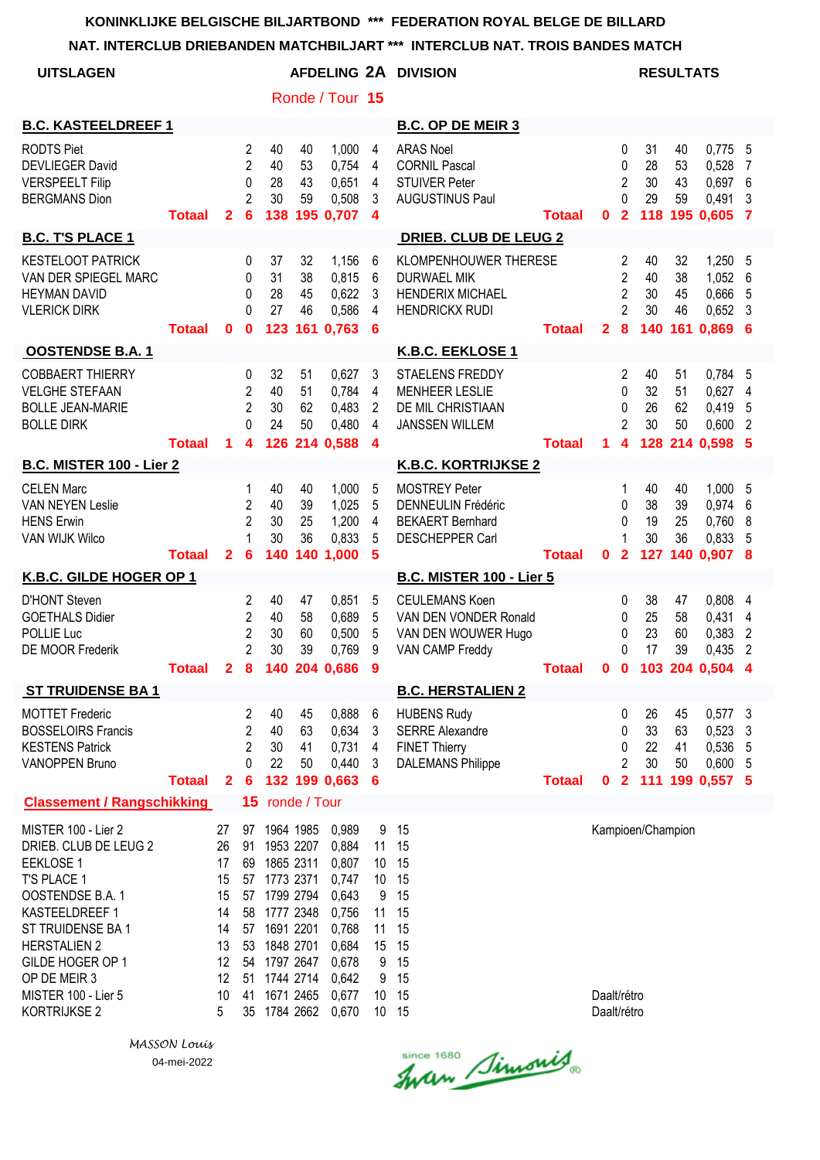|                                                                                                                                                                                                                                              |               |                                                                     |                                                                              |                                                                                                                                                                                           |                      |                                                                                                          |                                                                                        | NAT. INTERCLUB DRIEBANDEN MATCHBILJART ***  INTERCLUB NAT. TROIS BANDES MATCH                    |               |                            |                                                              |                      |                                 |                                                           |                                                         |
|----------------------------------------------------------------------------------------------------------------------------------------------------------------------------------------------------------------------------------------------|---------------|---------------------------------------------------------------------|------------------------------------------------------------------------------|-------------------------------------------------------------------------------------------------------------------------------------------------------------------------------------------|----------------------|----------------------------------------------------------------------------------------------------------|----------------------------------------------------------------------------------------|--------------------------------------------------------------------------------------------------|---------------|----------------------------|--------------------------------------------------------------|----------------------|---------------------------------|-----------------------------------------------------------|---------------------------------------------------------|
| <b>UITSLAGEN</b>                                                                                                                                                                                                                             |               |                                                                     |                                                                              |                                                                                                                                                                                           |                      |                                                                                                          |                                                                                        | AFDELING 2A DIVISION                                                                             |               |                            |                                                              |                      | <b>RESULTATS</b>                |                                                           |                                                         |
|                                                                                                                                                                                                                                              |               |                                                                     |                                                                              |                                                                                                                                                                                           |                      | Ronde / Tour 15                                                                                          |                                                                                        |                                                                                                  |               |                            |                                                              |                      |                                 |                                                           |                                                         |
| <b>B.C. KASTEELDREEF 1</b>                                                                                                                                                                                                                   |               |                                                                     |                                                                              |                                                                                                                                                                                           |                      |                                                                                                          |                                                                                        | <b>B.C. OP DE MEIR 3</b>                                                                         |               |                            |                                                              |                      |                                 |                                                           |                                                         |
| <b>RODTS Piet</b><br><b>DEVLIEGER David</b><br><b>VERSPEELT Filip</b><br><b>BERGMANS Dion</b>                                                                                                                                                | <b>Totaal</b> | $\mathbf{2}$                                                        | $\overline{2}$<br>$\overline{2}$<br>$\mathbf 0$<br>$\overline{2}$<br>6       | 40<br>40<br>28<br>30                                                                                                                                                                      | 40<br>53<br>43<br>59 | 1,000<br>0,754<br>0,651<br>0,508<br>138 195 0.707                                                        | $\overline{4}$<br>$\overline{4}$<br>4<br>3<br>$\overline{\mathbf{4}}$                  | <b>ARAS Noel</b><br><b>CORNIL Pascal</b><br><b>STUIVER Peter</b><br><b>AUGUSTINUS Paul</b>       | <b>Totaal</b> | 0                          | 0<br>0<br>$\overline{2}$<br>0<br>$\overline{2}$              | 31<br>28<br>30<br>29 | 40<br>53<br>43<br>59            | $0,775$ 5<br>0,528<br>0,697<br>0,491<br>118 195 0,605     | 7<br>6<br>3<br>$\overline{7}$                           |
| <b>B.C. T'S PLACE 1</b>                                                                                                                                                                                                                      |               |                                                                     |                                                                              |                                                                                                                                                                                           |                      |                                                                                                          |                                                                                        | <b>DRIEB. CLUB DE LEUG 2</b>                                                                     |               |                            |                                                              |                      |                                 |                                                           |                                                         |
| <b>KESTELOOT PATRICK</b><br>VAN DER SPIEGEL MARC<br><b>HEYMAN DAVID</b><br><b>VLERICK DIRK</b>                                                                                                                                               | <b>Totaal</b> | $\mathbf{0}$                                                        | 0<br>0<br>0<br>$\Omega$<br>$\mathbf{0}$                                      | 37<br>31<br>28<br>27                                                                                                                                                                      | 32<br>38<br>45<br>46 | 1,156<br>0,815<br>0,622<br>0,586<br>123 161 0.763                                                        | 6<br>6<br>3<br>4<br>6                                                                  | KLOMPENHOUWER THERESE<br><b>DURWAEL MIK</b><br><b>HENDERIX MICHAEL</b><br><b>HENDRICKX RUDI</b>  | <b>Totaal</b> | $\overline{2}$             | 2<br>$\overline{2}$<br>$\overline{2}$<br>$\overline{2}$<br>8 | 40<br>40<br>30<br>30 | 32<br>38<br>45<br>46<br>140 161 | 1,250 5<br>1,052 6<br>0,666 5<br>$0,652$ 3<br>$0,869$ 6   |                                                         |
| <b>OOSTENDSE B.A. 1</b>                                                                                                                                                                                                                      |               |                                                                     |                                                                              |                                                                                                                                                                                           |                      |                                                                                                          |                                                                                        | K.B.C. EEKLOSE 1                                                                                 |               |                            |                                                              |                      |                                 |                                                           |                                                         |
| <b>COBBAERT THIERRY</b><br><b>VELGHE STEFAAN</b><br><b>BOLLE JEAN-MARIE</b><br><b>BOLLE DIRK</b>                                                                                                                                             | <b>Totaal</b> | $\mathbf{1}$                                                        | 0<br>$\overline{2}$<br>$\overline{2}$<br>$\Omega$<br>$\overline{\mathbf{4}}$ | 32<br>40<br>30<br>24                                                                                                                                                                      | 51<br>51<br>62<br>50 | 0,627<br>0,784<br>0,483<br>0,480<br>126 214 0,588                                                        | 3<br>4<br>2<br>4<br>4                                                                  | <b>STAELENS FREDDY</b><br><b>MENHEER LESLIE</b><br>DE MIL CHRISTIAAN<br><b>JANSSEN WILLEM</b>    | <b>Totaal</b> | $\mathbf 1$                | 2<br>0<br>0<br>2<br>$\overline{\mathbf{4}}$                  | 40<br>32<br>26<br>30 | 51<br>51<br>62<br>50            | 0,784 5<br>0,627<br>0,419<br>0,600<br>128 214 0,598 5     | $\overline{4}$<br>-5<br>$\overline{2}$                  |
| <b>B.C. MISTER 100 - Lier 2</b>                                                                                                                                                                                                              |               |                                                                     |                                                                              |                                                                                                                                                                                           |                      |                                                                                                          |                                                                                        | <b>K.B.C. KORTRIJKSE 2</b>                                                                       |               |                            |                                                              |                      |                                 |                                                           |                                                         |
| <b>CELEN Marc</b><br>VAN NEYEN Leslie<br><b>HENS Erwin</b><br>VAN WIJK Wilco                                                                                                                                                                 | <b>Totaal</b> | $\mathbf{2}$                                                        | 1<br>$\overline{2}$<br>$\overline{2}$<br>1<br>6                              | 40<br>40<br>30<br>30<br>140                                                                                                                                                               | 40<br>39<br>25<br>36 | 1,000<br>1,025<br>1,200<br>0,833<br>140 1,000                                                            | 5<br>5<br>4<br>5<br>5                                                                  | <b>MOSTREY Peter</b><br><b>DENNEULIN Frédéric</b><br><b>BEKAERT Bernhard</b><br>DESCHEPPER Carl  | <b>Totaal</b> | $\mathbf 0$                | 1<br>0<br>0<br>1<br>$\overline{2}$                           | 40<br>38<br>19<br>30 | 40<br>39<br>25<br>36            | 1,000 5<br>0,974<br>0,760<br>0,833<br>127 140 0,907 8     | 6<br>8<br>-5                                            |
| K.B.C. GILDE HOGER OP 1                                                                                                                                                                                                                      |               |                                                                     |                                                                              |                                                                                                                                                                                           |                      |                                                                                                          |                                                                                        | <b>B.C. MISTER 100 - Lier 5</b>                                                                  |               |                            |                                                              |                      |                                 |                                                           |                                                         |
| <b>D'HONT Steven</b><br><b>GOETHALS Didier</b><br>POLLIE Luc<br>DE MOOR Frederik                                                                                                                                                             | <b>Totaal</b> |                                                                     | 2<br>$\overline{2}$<br>$\overline{2}$<br>$\overline{2}$                      | 40<br>40<br>30<br>30                                                                                                                                                                      | 47<br>58<br>60<br>39 | 0,851<br>0,689<br>0,500<br>0,769<br>2 8 140 204 0,686 9                                                  | 5<br>5<br>5<br>9                                                                       | <b>CEULEMANS Koen</b><br>VAN DEN VONDER Ronald<br>VAN DEN WOUWER Hugo<br>VAN CAMP Freddy         | <b>Totaal</b> | 0                          | 0<br>0<br>0<br>0<br>$\mathbf 0$                              | 38<br>25<br>23<br>17 | 47<br>58<br>60<br>39            | 0,808<br>0,431<br>0,383<br>0,435<br>103 204 0,504 4       | $\overline{4}$<br>4<br>$\overline{2}$<br>$\overline{2}$ |
| <b>ST TRUIDENSE BA1</b>                                                                                                                                                                                                                      |               |                                                                     |                                                                              |                                                                                                                                                                                           |                      |                                                                                                          |                                                                                        | <b>B.C. HERSTALIEN 2</b>                                                                         |               |                            |                                                              |                      |                                 |                                                           |                                                         |
| <b>MOTTET Frederic</b><br><b>BOSSELOIRS Francis</b><br><b>KESTENS Patrick</b><br>VANOPPEN Bruno                                                                                                                                              | <b>Totaal</b> | $\mathbf{2}$                                                        | 2<br>$\overline{2}$<br>$\overline{2}$<br>0<br>6                              | 40<br>40<br>30<br>22                                                                                                                                                                      | 45<br>63<br>41<br>50 | 0,888<br>0,634<br>0,731<br>0,440<br>132 199 0,663                                                        | 6<br>3<br>4<br>3<br>6                                                                  | <b>HUBENS Rudy</b><br><b>SERRE Alexandre</b><br><b>FINET Thierry</b><br><b>DALEMANS Philippe</b> | <b>Totaal</b> | 0                          | 0<br>0<br>0<br>$\overline{2}$<br>$\overline{\mathbf{2}}$     | 26<br>33<br>22<br>30 | 45<br>63<br>41<br>50            | $0,577$ 3<br>0,523<br>0,536 5<br>0,600<br>111 199 0,557 5 | 3<br>- 5                                                |
| <b>Classement / Rangschikking</b>                                                                                                                                                                                                            |               |                                                                     |                                                                              | 15 ronde / Tour                                                                                                                                                                           |                      |                                                                                                          |                                                                                        |                                                                                                  |               |                            |                                                              |                      |                                 |                                                           |                                                         |
| MISTER 100 - Lier 2<br>DRIEB. CLUB DE LEUG 2<br><b>EEKLOSE 1</b><br>T'S PLACE 1<br>OOSTENDSE B.A. 1<br>KASTEELDREEF 1<br>ST TRUIDENSE BA 1<br><b>HERSTALIEN 2</b><br>GILDE HOGER OP 1<br>OP DE MEIR 3<br>MISTER 100 - Lier 5<br>KORTRIJKSE 2 |               | 27<br>26<br>17<br>15<br>15<br>14<br>14<br>13<br>12<br>12<br>10<br>5 | 53                                                                           | 97 1964 1985<br>91 1953 2207<br>69 1865 2311<br>57 1773 2371<br>57 1799 2794<br>58 1777 2348<br>57 1691 2201<br>1848 2701<br>54 1797 2647<br>51 1744 2714<br>41 1671 2465<br>35 1784 2662 |                      | 0,989<br>0,884<br>0,807<br>0,747<br>0,643<br>0,756<br>0,768<br>0,684<br>0,678<br>0,642<br>0,677<br>0,670 | 9<br>11 15<br>10 <sup>°</sup><br>10<br>9<br>11 15<br>11<br>15<br>9<br>9<br>10<br>10 15 | 15<br>15<br>15<br>15<br>15<br>15<br>15<br>15<br>15                                               |               | Daalt/rétro<br>Daalt/rétro |                                                              | Kampioen/Champion    |                                 |                                                           |                                                         |

*MASSON Louis* 04-mei-2022

Since 1680 Simonis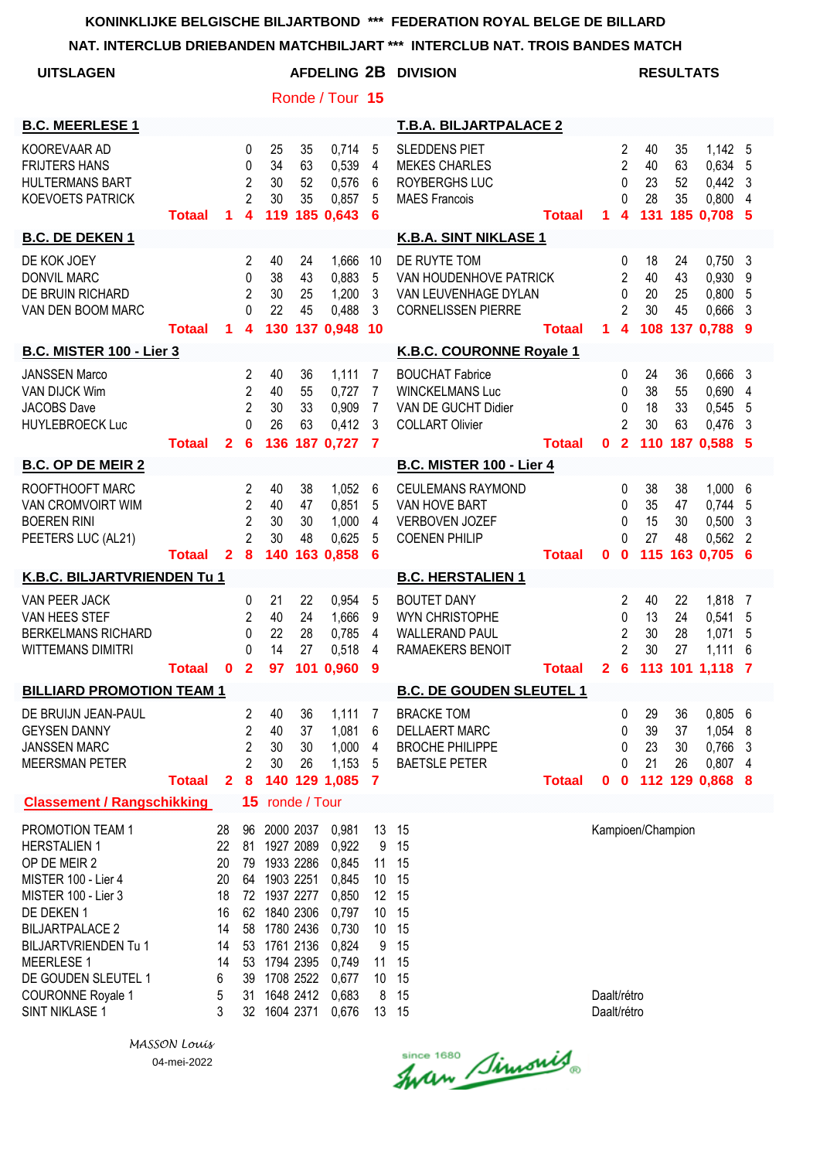|                                                                                                                                                                                                                                                                 |               |                                                                   |                                                                                  |                                                                                                                                                                  |                      |                                                                                                          |                                                                         | NAT. INTERCLUB DRIEBANDEN MATCHBILJART *** INTERCLUB NAT. TROIS BANDES MATCH                      |               |                            |                                                                          |                      |                      |                                                         |                               |
|-----------------------------------------------------------------------------------------------------------------------------------------------------------------------------------------------------------------------------------------------------------------|---------------|-------------------------------------------------------------------|----------------------------------------------------------------------------------|------------------------------------------------------------------------------------------------------------------------------------------------------------------|----------------------|----------------------------------------------------------------------------------------------------------|-------------------------------------------------------------------------|---------------------------------------------------------------------------------------------------|---------------|----------------------------|--------------------------------------------------------------------------|----------------------|----------------------|---------------------------------------------------------|-------------------------------|
| <b>UITSLAGEN</b>                                                                                                                                                                                                                                                |               |                                                                   |                                                                                  |                                                                                                                                                                  |                      |                                                                                                          |                                                                         | AFDELING 2B DIVISION                                                                              |               |                            |                                                                          | <b>RESULTATS</b>     |                      |                                                         |                               |
|                                                                                                                                                                                                                                                                 |               |                                                                   |                                                                                  |                                                                                                                                                                  |                      | Ronde / Tour 15                                                                                          |                                                                         |                                                                                                   |               |                            |                                                                          |                      |                      |                                                         |                               |
| <b>B.C. MEERLESE 1</b>                                                                                                                                                                                                                                          |               |                                                                   |                                                                                  |                                                                                                                                                                  |                      |                                                                                                          |                                                                         | <b>T.B.A. BILJARTPALACE 2</b>                                                                     |               |                            |                                                                          |                      |                      |                                                         |                               |
| KOOREVAAR AD<br><b>FRIJTERS HANS</b><br><b>HULTERMANS BART</b><br><b>KOEVOETS PATRICK</b>                                                                                                                                                                       | <b>Totaal</b> | $\mathbf 1$                                                       | $\mathbf 0$<br>0<br>$\overline{c}$<br>$\overline{2}$<br>$\overline{\mathbf{4}}$  | 25<br>34<br>30<br>30<br>119                                                                                                                                      | 35<br>63<br>52<br>35 | 0,714<br>0,539<br>0,576<br>0,857<br>185 0,643                                                            | 5<br>4<br>6<br>5<br>6                                                   | <b>SLEDDENS PIET</b><br><b>MEKES CHARLES</b><br>ROYBERGHS LUC<br><b>MAES Francois</b>             | <b>Totaal</b> | 1                          | $\overline{2}$<br>$\overline{2}$<br>0<br>$\Omega$<br>$\overline{\bf{4}}$ | 40<br>40<br>23<br>28 | 35<br>63<br>52<br>35 | 1,142 5<br>0,634 5<br>0,442<br>0,800<br>131 185 0,708 5 | - 3<br>$\overline{4}$         |
| <b>B.C. DE DEKEN 1</b>                                                                                                                                                                                                                                          |               |                                                                   |                                                                                  |                                                                                                                                                                  |                      |                                                                                                          |                                                                         | K.B.A. SINT NIKLASE 1                                                                             |               |                            |                                                                          |                      |                      |                                                         |                               |
| DE KOK JOEY<br><b>DONVIL MARC</b><br>DE BRUIN RICHARD<br>VAN DEN BOOM MARC                                                                                                                                                                                      | <b>Totaal</b> | $\mathbf 1$                                                       | 2<br>$\mathbf{0}$<br>2<br>$\Omega$<br>4                                          | 40<br>38<br>30<br>22                                                                                                                                             | 24<br>43<br>25<br>45 | 1,666<br>0,883<br>1,200<br>0,488<br>130 137 0,948 10                                                     | 10<br>5<br>3<br>3                                                       | DE RUYTE TOM<br>VAN HOUDENHOVE PATRICK<br>VAN LEUVENHAGE DYLAN<br><b>CORNELISSEN PIERRE</b>       | <b>Totaal</b> | $\mathbf 1$                | 0<br>2<br>0<br>2<br>$\overline{\mathbf{4}}$                              | 18<br>40<br>20<br>30 | 24<br>43<br>25<br>45 | 0,750<br>0,930<br>0,800<br>0,666<br>108 137 0,788 9     | $\mathbf{3}$<br>9<br>5<br>3   |
| <b>B.C. MISTER 100 - Lier 3</b>                                                                                                                                                                                                                                 |               |                                                                   |                                                                                  |                                                                                                                                                                  |                      |                                                                                                          |                                                                         | K.B.C. COURONNE Royale 1                                                                          |               |                            |                                                                          |                      |                      |                                                         |                               |
| <b>JANSSEN Marco</b><br>VAN DIJCK Wim<br><b>JACOBS Dave</b><br><b>HUYLEBROECK Luc</b>                                                                                                                                                                           | <b>Totaal</b> |                                                                   | $\overline{2}$<br>$\overline{c}$<br>$\overline{2}$<br>$\Omega$<br>2 <sub>6</sub> | 40<br>40<br>30<br>26                                                                                                                                             | 36<br>55<br>33<br>63 | 1,111<br>0,727<br>0,909<br>0,412<br>136 187 0,727                                                        | $\overline{7}$<br>$\overline{7}$<br>7<br>3<br>$\overline{\mathbf{7}}$   | <b>BOUCHAT Fabrice</b><br><b>WINCKELMANS Luc</b><br>VAN DE GUCHT Didier<br><b>COLLART Olivier</b> | <b>Totaal</b> | $\mathbf{0}$               | 0<br>0<br>0<br>2<br>$\overline{2}$                                       | 24<br>38<br>18<br>30 | 36<br>55<br>33<br>63 | 0,666 3<br>0,690<br>0,545<br>0,476<br>110 187 0.588 5   | 4<br>5<br>3                   |
| <b>B.C. OP DE MEIR 2</b>                                                                                                                                                                                                                                        |               |                                                                   |                                                                                  |                                                                                                                                                                  |                      |                                                                                                          |                                                                         | <b>B.C. MISTER 100 - Lier 4</b>                                                                   |               |                            |                                                                          |                      |                      |                                                         |                               |
| ROOFTHOOFT MARC<br>VAN CROMVOIRT WIM<br><b>BOEREN RINI</b><br>PEETERS LUC (AL21)                                                                                                                                                                                | <b>Totaal</b> |                                                                   | $\overline{2}$<br>$\overline{2}$<br>$\overline{2}$<br>$\overline{2}$<br>28       | 40<br>40<br>30<br>30                                                                                                                                             | 38<br>47<br>30<br>48 | 1,052<br>0,851<br>1,000<br>0,625<br>140 163 0,858                                                        | 6<br>5<br>$\overline{4}$<br>5<br>6                                      | <b>CEULEMANS RAYMOND</b><br>VAN HOVE BART<br><b>VERBOVEN JOZEF</b><br><b>COENEN PHILIP</b>        | <b>Totaal</b> | $\mathbf{0}$               | 0<br>0<br>0<br>$\Omega$<br>$\mathbf{0}$                                  | 38<br>35<br>15<br>27 | 38<br>47<br>30<br>48 | 1,000 6<br>0,744<br>0,500<br>0,562<br>115 163 0.705 6   | 5<br>3<br>$\overline{2}$      |
| K.B.C. BILJARTVRIENDEN Tu 1                                                                                                                                                                                                                                     |               |                                                                   |                                                                                  |                                                                                                                                                                  |                      |                                                                                                          |                                                                         | <b>B.C. HERSTALIEN 1</b>                                                                          |               |                            |                                                                          |                      |                      |                                                         |                               |
| VAN PEER JACK<br>VAN HEES STEF<br><b>BERKELMANS RICHARD</b><br><b>WITTEMANS DIMITRI</b>                                                                                                                                                                         | Totaal        |                                                                   | 0<br>2<br>$\mathbf{0}$<br>$\mathbf{0}$<br>0 <sub>2</sub>                         | 21<br>40<br>22<br>14                                                                                                                                             | 22<br>24<br>28<br>27 | 0,954<br>1,666<br>0,785<br>0,518<br>97 101 0,960 9                                                       | -5<br>9<br>4<br>4                                                       | <b>BOUTET DANY</b><br>WYN CHRISTOPHE<br><b>WALLERAND PAUL</b><br>RAMAEKERS BENOIT                 | <b>Totaal</b> |                            | 2<br>0<br>$\overline{2}$<br>$\overline{2}$                               | 40<br>13<br>30<br>30 | 22<br>24<br>28<br>27 | 1,818<br>0,541<br>1,071<br>1,111<br>2 6 113 101 1,118 7 | $\overline{7}$<br>5<br>5<br>6 |
| <b>BILLIARD PROMOTION TEAM 1</b>                                                                                                                                                                                                                                |               |                                                                   |                                                                                  |                                                                                                                                                                  |                      |                                                                                                          |                                                                         | <b>B.C. DE GOUDEN SLEUTEL 1</b>                                                                   |               |                            |                                                                          |                      |                      |                                                         |                               |
| DE BRUIJN JEAN-PAUL<br><b>GEYSEN DANNY</b><br><b>JANSSEN MARC</b><br><b>MEERSMAN PETER</b>                                                                                                                                                                      | <b>Totaal</b> | $\mathbf{2}$                                                      | $\overline{2}$<br>$\overline{2}$<br>$\overline{2}$<br>2<br>8                     | 40<br>40<br>30<br>30                                                                                                                                             | 36<br>37<br>30<br>26 | 1,111<br>1,081<br>1,000<br>1,153<br>140 129 1,085                                                        | 7<br>6<br>4<br>5<br>7                                                   | <b>BRACKE TOM</b><br>DELLAERT MARC<br><b>BROCHE PHILIPPE</b><br><b>BAETSLE PETER</b>              | <b>Totaal</b> | $\mathbf 0$                | 0<br>0<br>0<br>0<br>$\mathbf 0$                                          | 29<br>39<br>23<br>21 | 36<br>37<br>30<br>26 | 0,805 6<br>1,054 8<br>0,766<br>0,807<br>112 129 0,868 8 | 3<br>$\overline{4}$           |
| <b>Classement / Rangschikking</b>                                                                                                                                                                                                                               |               |                                                                   | 15                                                                               |                                                                                                                                                                  | ronde / Tour         |                                                                                                          |                                                                         |                                                                                                   |               |                            |                                                                          |                      |                      |                                                         |                               |
| PROMOTION TEAM 1<br><b>HERSTALIEN 1</b><br>OP DE MEIR 2<br>MISTER 100 - Lier 4<br>MISTER 100 - Lier 3<br>DE DEKEN 1<br><b>BILJARTPALACE 2</b><br>BILJARTVRIENDEN Tu 1<br><b>MEERLESE 1</b><br>DE GOUDEN SLEUTEL 1<br><b>COURONNE Royale 1</b><br>SINT NIKLASE 1 |               | 28<br>22<br>20<br>20<br>18<br>16<br>14<br>14<br>14<br>6<br>5<br>3 | 96<br>58<br>53<br>53<br>31                                                       | 81 1927 2089<br>79 1933 2286<br>64 1903 2251<br>72 1937 2277<br>62 1840 2306<br>1780 2436<br>1761 2136<br>1794 2395<br>39 1708 2522<br>1648 2412<br>32 1604 2371 | 2000 2037            | 0,981<br>0,922<br>0,845<br>0,845<br>0,850<br>0,797<br>0,730<br>0,824<br>0,749<br>0,677<br>0,683<br>0,676 | 13<br>9<br>11<br>10<br>12 15<br>10<br>10<br>9<br>11<br>10<br>8<br>13 15 | 15<br>15<br>15<br>15<br>15<br>15<br>15<br>15<br>15<br>15                                          |               | Daalt/rétro<br>Daalt/rétro |                                                                          | Kampioen/Champion    |                      |                                                         |                               |

Since 1680 Simonis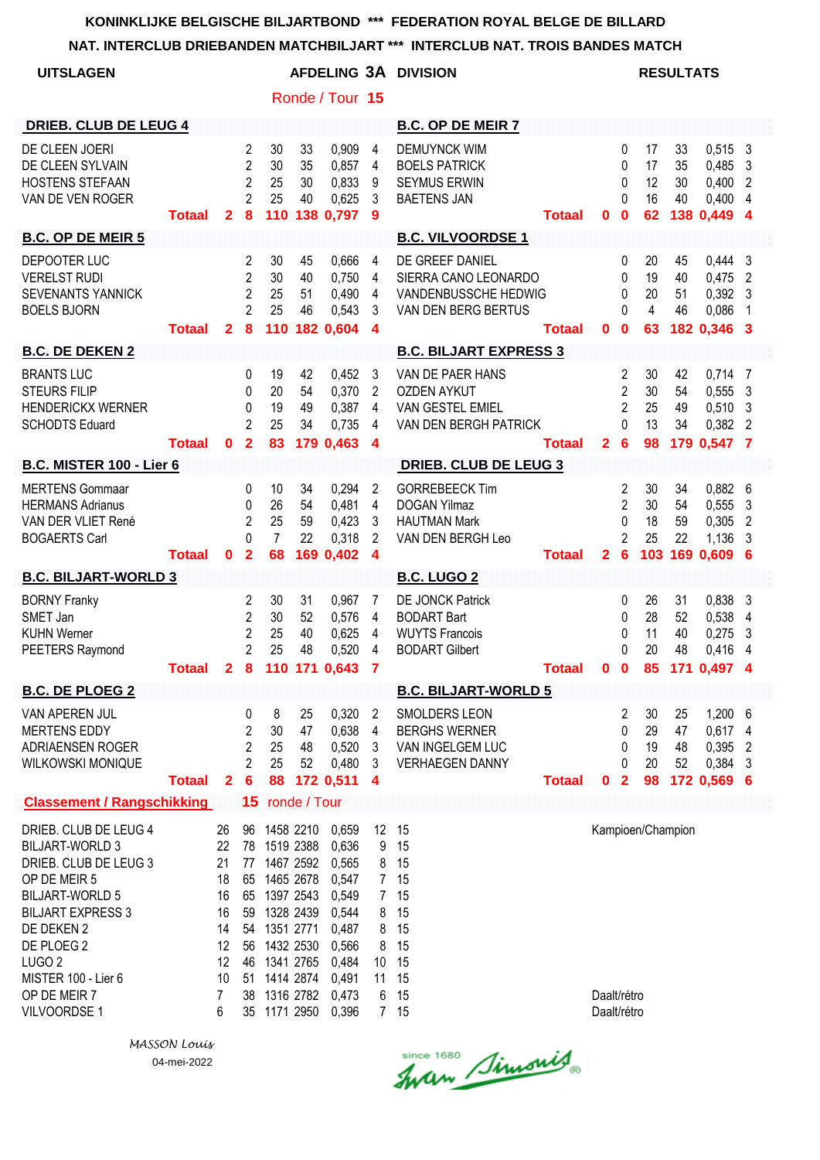# **NAT. INTERCLUB DRIEBANDEN MATCHBILJART \*\*\* INTERCLUB NAT. TROIS BANDES MATCH**

|                                                                                                                                                                                                                                                        |               |                                                                                 |                                                                           |                                                                                                                                                                                           |                      |                                                                                                          |                                                                                                   | NAT. INTERCLUB DRIEBANDEN MATCHBILJART ***  INTERCLUB NAT. TROIS BANDES MATCH              |               |                            |                                                               |                             |                             |                                                             |                               |
|--------------------------------------------------------------------------------------------------------------------------------------------------------------------------------------------------------------------------------------------------------|---------------|---------------------------------------------------------------------------------|---------------------------------------------------------------------------|-------------------------------------------------------------------------------------------------------------------------------------------------------------------------------------------|----------------------|----------------------------------------------------------------------------------------------------------|---------------------------------------------------------------------------------------------------|--------------------------------------------------------------------------------------------|---------------|----------------------------|---------------------------------------------------------------|-----------------------------|-----------------------------|-------------------------------------------------------------|-------------------------------|
| <b>UITSLAGEN</b>                                                                                                                                                                                                                                       |               |                                                                                 |                                                                           |                                                                                                                                                                                           |                      |                                                                                                          |                                                                                                   | AFDELING 3A DIVISION                                                                       |               |                            |                                                               |                             | <b>RESULTATS</b>            |                                                             |                               |
|                                                                                                                                                                                                                                                        |               |                                                                                 |                                                                           |                                                                                                                                                                                           |                      | Ronde / Tour 15                                                                                          |                                                                                                   |                                                                                            |               |                            |                                                               |                             |                             |                                                             |                               |
| <b>DRIEB. CLUB DE LEUG 4</b>                                                                                                                                                                                                                           |               |                                                                                 |                                                                           |                                                                                                                                                                                           |                      |                                                                                                          |                                                                                                   | <b>B.C. OP DE MEIR 7</b>                                                                   |               |                            |                                                               |                             |                             |                                                             |                               |
| DE CLEEN JOERI<br>DE CLEEN SYLVAIN<br><b>HOSTENS STEFAAN</b><br>VAN DE VEN ROGER                                                                                                                                                                       | <b>Totaal</b> | $\mathbf{2}$                                                                    | $\overline{2}$<br>$\overline{2}$<br>$\overline{2}$<br>$\overline{2}$<br>8 | 30<br>30<br>25<br>25<br>110                                                                                                                                                               | 33<br>35<br>30<br>40 | 0,909<br>0,857<br>0,833<br>0,625<br>138 0,797                                                            | 4<br>4<br>9<br>3<br>-9                                                                            | <b>DEMUYNCK WIM</b><br><b>BOELS PATRICK</b><br><b>SEYMUS ERWIN</b><br><b>BAETENS JAN</b>   | <b>Totaal</b> | 0                          | 0<br>0<br>0<br>0<br>$\mathbf 0$                               | 17<br>17<br>12<br>16<br>62  | 33<br>35<br>30<br>40        | $0,515$ 3<br>0,485 3<br>0,400<br>$0,400$ 4<br>138 0,449 4   | $\overline{2}$                |
| <b>B.C. OP DE MEIR 5</b>                                                                                                                                                                                                                               |               |                                                                                 |                                                                           |                                                                                                                                                                                           |                      |                                                                                                          |                                                                                                   | <b>B.C. VILVOORDSE 1</b>                                                                   |               |                            |                                                               |                             |                             |                                                             |                               |
| DEPOOTER LUC<br><b>VERELST RUDI</b><br><b>SEVENANTS YANNICK</b><br><b>BOELS BJORN</b>                                                                                                                                                                  | <b>Totaal</b> | $\overline{2}$                                                                  | 2<br>$\overline{2}$<br>$\overline{2}$<br>$\overline{2}$<br>8              | 30<br>30<br>25<br>25<br>110                                                                                                                                                               | 45<br>40<br>51<br>46 | 0,666<br>0,750<br>0,490<br>0,543<br>182 0,604                                                            | 4<br>4<br>4<br>3<br>$\overline{4}$                                                                | DE GREEF DANIEL<br>SIERRA CANO LEONARDO<br>VANDENBUSSCHE HEDWIG<br>VAN DEN BERG BERTUS     | <b>Totaal</b> | 0                          | 0<br>0<br>0<br>$\Omega$<br>$\mathbf 0$                        | 20<br>19<br>20<br>4<br>63   | 45<br>40<br>51<br>46        | $0,444$ 3<br>$0,475$ 2<br>$0,392$ 3<br>0,086<br>182 0,346 3 | -1                            |
| <b>B.C. DE DEKEN 2</b>                                                                                                                                                                                                                                 |               |                                                                                 |                                                                           |                                                                                                                                                                                           |                      |                                                                                                          |                                                                                                   | <b>B.C. BILJART EXPRESS 3</b>                                                              |               |                            |                                                               |                             |                             |                                                             |                               |
| <b>BRANTS LUC</b><br><b>STEURS FILIP</b><br><b>HENDERICKX WERNER</b><br><b>SCHODTS Eduard</b>                                                                                                                                                          | <b>Totaal</b> | $\mathbf{0}$                                                                    | 0<br>0<br>0<br>$\overline{2}$<br>$\overline{\mathbf{2}}$                  | 19<br>20<br>19<br>25<br>83                                                                                                                                                                | 42<br>54<br>49<br>34 | 0,452<br>0,370<br>0,387<br>0,735<br>179 0.463                                                            | 3<br>2<br>4<br>4<br>$\overline{\mathbf{4}}$                                                       | VAN DE PAER HANS<br><b>OZDEN AYKUT</b><br><b>VAN GESTEL EMIEL</b><br>VAN DEN BERGH PATRICK | Totaal        | 2 <sub>6</sub>             | 2<br>$\overline{2}$<br>$\overline{c}$<br>0                    | 30<br>30<br>25<br>13<br>98  | 42<br>54<br>49<br>34        | 0,714<br>0,5553<br>0,510<br>0,382 2<br>179 0,547 7          | -7<br>3                       |
| <b>B.C. MISTER 100 - Lier 6</b>                                                                                                                                                                                                                        |               |                                                                                 |                                                                           |                                                                                                                                                                                           |                      |                                                                                                          |                                                                                                   | <b>DRIEB. CLUB DE LEUG 3</b>                                                               |               |                            |                                                               |                             |                             |                                                             |                               |
| <b>MERTENS Gommaar</b><br><b>HERMANS Adrianus</b><br>VAN DER VLIET René<br><b>BOGAERTS Carl</b>                                                                                                                                                        | <b>Totaal</b> | $\mathbf{0}$                                                                    | 0<br>0<br>$\overline{2}$<br>0<br>$\mathbf{2}$                             | 10<br>26<br>25<br>$\overline{7}$<br>68                                                                                                                                                    | 34<br>54<br>59<br>22 | 0,294<br>0,481<br>0,423<br>0,318<br>169 0,402                                                            | 2<br>4<br>3<br>2<br>$\boldsymbol{4}$                                                              | <b>GORREBEECK Tim</b><br><b>DOGAN Yilmaz</b><br><b>HAUTMAN Mark</b><br>VAN DEN BERGH Leo   | <b>Totaal</b> | $\mathbf{2}$               | 2<br>$\overline{c}$<br>0<br>$\overline{2}$<br>$6\phantom{1}6$ | 30<br>30<br>18<br>25<br>103 | 34<br>54<br>59<br>22<br>169 | $0,882$ 6<br>0,555<br>0,305<br>1,136<br>0,609               | 3<br>$\overline{2}$<br>3<br>6 |
| <b>B.C. BILJART-WORLD 3</b>                                                                                                                                                                                                                            |               |                                                                                 |                                                                           |                                                                                                                                                                                           |                      |                                                                                                          |                                                                                                   | <b>B.C. LUGO 2</b>                                                                         |               |                            |                                                               |                             |                             |                                                             |                               |
| <b>BORNY Franky</b><br>SMET Jan<br><b>KUHN Werner</b><br>PEETERS Raymond                                                                                                                                                                               | <b>Totaal</b> |                                                                                 | 2<br>$\overline{c}$<br>$\overline{2}$<br>$\overline{2}$                   | 30<br>30<br>25<br>25                                                                                                                                                                      | 31<br>52<br>40<br>48 | 0,967<br>0,576<br>0,625<br>0,520<br>2 8 110 171 0,643 7                                                  | 7<br>4<br>4<br>4                                                                                  | DE JONCK Patrick<br><b>BODART Bart</b><br><b>WUYTS Francois</b><br><b>BODART Gilbert</b>   | <b>Totaal</b> | 0 <sub>0</sub>             | 0<br>0<br>0<br>0                                              | 26<br>28<br>11<br>20        | 31<br>52<br>40<br>48        | 0,838<br>0,538<br>0,275<br>0,416<br>85 171 0,497 4          | 3<br>4<br>3<br>$\overline{4}$ |
| <b>B.C. DE PLOEG 2</b>                                                                                                                                                                                                                                 |               |                                                                                 |                                                                           |                                                                                                                                                                                           |                      |                                                                                                          |                                                                                                   | <b>B.C. BILJART-WORLD 5</b>                                                                |               |                            |                                                               |                             |                             |                                                             |                               |
| VAN APEREN JUL<br><b>MERTENS EDDY</b><br>ADRIAENSEN ROGER<br><b>WILKOWSKI MONIQUE</b>                                                                                                                                                                  | <b>Totaal</b> | $\mathbf{2}$                                                                    | 0<br>2<br>$\overline{2}$<br>$\overline{2}$<br>$6\phantom{1}6$             | 8<br>30<br>25<br>25<br>88                                                                                                                                                                 | 25<br>47<br>48<br>52 | 0,320<br>0,638<br>0,520<br>0,480<br>172 0,511                                                            | 2<br>4<br>3<br>3<br>4                                                                             | <b>SMOLDERS LEON</b><br><b>BERGHS WERNER</b><br>VAN INGELGEM LUC<br><b>VERHAEGEN DANNY</b> | <b>Totaal</b> | 0                          | 2<br>0<br>0<br>0<br>$\overline{2}$                            | 30<br>29<br>19<br>20<br>98  | 25<br>47<br>48<br>52        | 1,200 6<br>0,617 4<br>0,395<br>0,384<br>172 0,569 6         | $\overline{2}$<br>3           |
| <b>Classement / Rangschikking</b>                                                                                                                                                                                                                      |               |                                                                                 |                                                                           | 15 ronde / Tour                                                                                                                                                                           |                      |                                                                                                          |                                                                                                   |                                                                                            |               |                            |                                                               |                             |                             |                                                             |                               |
| DRIEB. CLUB DE LEUG 4<br><b>BILJART-WORLD 3</b><br>DRIEB. CLUB DE LEUG 3<br>OP DE MEIR 5<br><b>BILJART-WORLD 5</b><br><b>BILJART EXPRESS 3</b><br>DE DEKEN 2<br>DE PLOEG 2<br>LUGO <sub>2</sub><br>MISTER 100 - Lier 6<br>OP DE MEIR 7<br>VILVOORDSE 1 |               | 26<br>22<br>21<br>18<br>16<br>16<br>14<br>12<br>12<br>10<br>$\overline{7}$<br>6 | 54                                                                        | 96 1458 2210<br>78 1519 2388<br>77 1467 2592<br>65 1465 2678<br>65 1397 2543<br>59 1328 2439<br>1351 2771<br>56 1432 2530<br>46 1341 2765<br>51 1414 2874<br>38 1316 2782<br>35 1171 2950 |                      | 0,659<br>0,636<br>0,565<br>0,547<br>0,549<br>0,544<br>0,487<br>0,566<br>0,484<br>0,491<br>0,473<br>0,396 | 12 15<br>9<br>8<br>7 <sup>7</sup><br>7 <sup>7</sup><br>$8\phantom{.0}$<br>8<br>8<br>10<br>11<br>6 | 15<br>15<br>15<br>15<br>15<br>15<br>15<br>15<br>15<br>15<br>7 15                           |               | Daalt/rétro<br>Daalt/rétro |                                                               |                             | Kampioen/Champion           |                                                             |                               |

since 1680 Simonis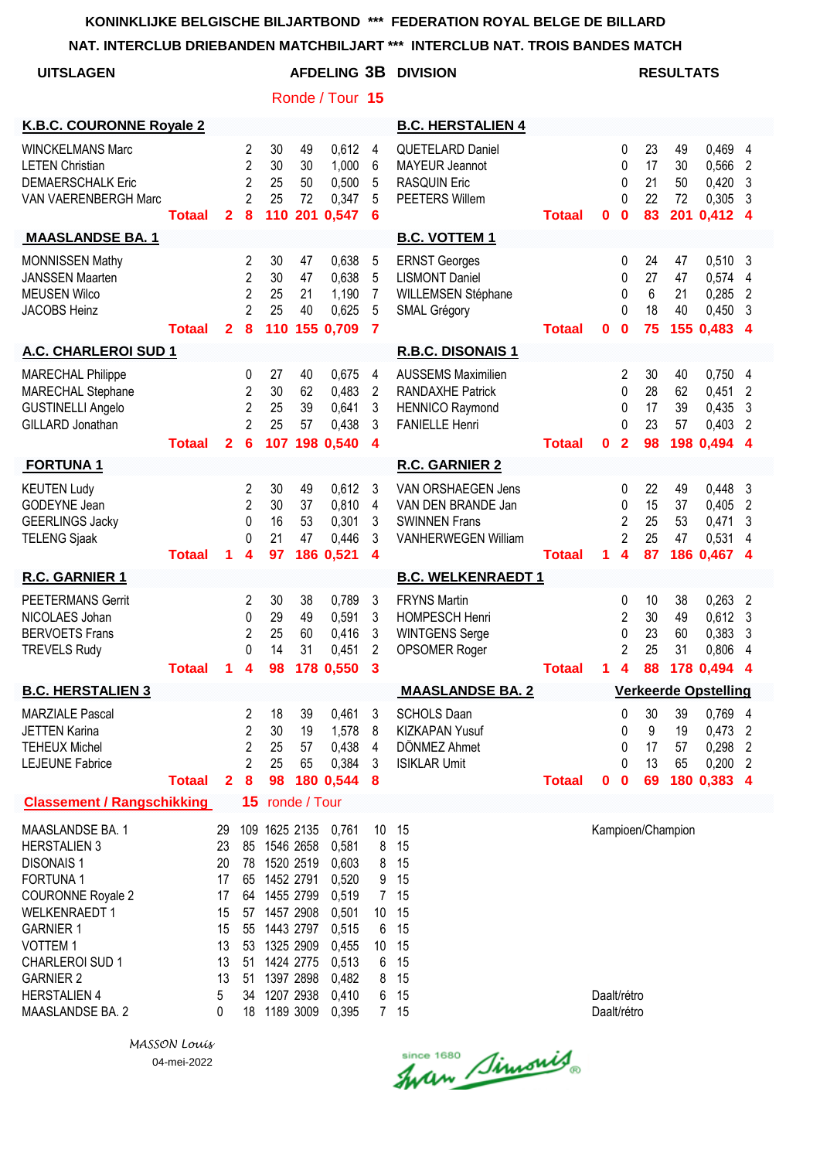**NAT. INTERCLUB DRIEBANDEN MATCHBILJART \*\*\* INTERCLUB NAT. TROIS BANDES MATCH**

| <b>UITSLAGEN</b>                                                                                                                                                                                                                                   |               |                                                                    |                                                                           |                                                                                                                                                                       |                      | Ronde / Tour 15                                                                                          | AFDELING 3B DIVISION<br><b>RESULTATS</b>                      |                                                                                                         |               |                            |                                                                       |                            |                      |                                                               |                                                        |
|----------------------------------------------------------------------------------------------------------------------------------------------------------------------------------------------------------------------------------------------------|---------------|--------------------------------------------------------------------|---------------------------------------------------------------------------|-----------------------------------------------------------------------------------------------------------------------------------------------------------------------|----------------------|----------------------------------------------------------------------------------------------------------|---------------------------------------------------------------|---------------------------------------------------------------------------------------------------------|---------------|----------------------------|-----------------------------------------------------------------------|----------------------------|----------------------|---------------------------------------------------------------|--------------------------------------------------------|
| K.B.C. COURONNE Royale 2                                                                                                                                                                                                                           |               |                                                                    |                                                                           |                                                                                                                                                                       |                      |                                                                                                          |                                                               | <b>B.C. HERSTALIEN 4</b>                                                                                |               |                            |                                                                       |                            |                      |                                                               |                                                        |
| <b>WINCKELMANS Marc</b><br><b>LETEN Christian</b><br><b>DEMAERSCHALK Eric</b><br>VAN VAERENBERGH Marc                                                                                                                                              | <b>Totaal</b> | $\mathbf{2}$                                                       | 2<br>$\overline{2}$<br>$\overline{2}$<br>2<br>8                           | 30<br>30<br>25<br>25<br>110                                                                                                                                           | 49<br>30<br>50<br>72 | 0,612<br>1,000<br>0,500<br>0,347<br>201 0,547                                                            | 4<br>6<br>5<br>5<br>6                                         | <b>QUETELARD Daniel</b><br><b>MAYEUR Jeannot</b><br><b>RASQUIN Eric</b><br>PEETERS Willem               | <b>Totaal</b> | $\bf{0}$                   | $\mathbf{0}$<br>$\mathbf{0}$<br>0<br>$\Omega$<br>$\bf{0}$             | 23<br>17<br>21<br>22<br>83 | 49<br>30<br>50<br>72 | 0,469<br>0,566<br>0,420<br>0,305<br>201 0,412 4               | $\overline{4}$<br>$\overline{2}$<br>3<br>-3            |
| <b>MAASLANDSE BA. 1</b>                                                                                                                                                                                                                            |               |                                                                    |                                                                           |                                                                                                                                                                       |                      |                                                                                                          |                                                               | <b>B.C. VOTTEM 1</b>                                                                                    |               |                            |                                                                       |                            |                      |                                                               |                                                        |
| <b>MONNISSEN Mathy</b><br><b>JANSSEN Maarten</b><br><b>MEUSEN Wilco</b><br><b>JACOBS Heinz</b>                                                                                                                                                     | <b>Totaal</b> | $\mathbf{2}$                                                       | $\overline{c}$<br>$\overline{2}$<br>$\overline{2}$<br>$\overline{2}$<br>8 | 30<br>30<br>25<br>25                                                                                                                                                  | 47<br>47<br>21<br>40 | 0,638<br>0,638<br>1,190<br>0,625<br>110 155 0,709                                                        | 5<br>5<br>$\overline{7}$<br>5<br>$\overline{7}$               | <b>ERNST Georges</b><br><b>LISMONT Daniel</b><br>WILLEMSEN Stéphane<br><b>SMAL Grégory</b>              | <b>Totaal</b> | 0                          | 0<br>0<br>0<br>$\Omega$<br>$\mathbf 0$                                | 24<br>27<br>6<br>18<br>75  | 47<br>47<br>21<br>40 | 0,510<br>0,574<br>0,285<br>0,450<br>155 0,483                 | -3<br>$\overline{4}$<br>$\overline{2}$<br>-3<br>-4     |
| A.C. CHARLEROI SUD 1                                                                                                                                                                                                                               |               |                                                                    |                                                                           |                                                                                                                                                                       |                      |                                                                                                          |                                                               | R.B.C. DISONAIS 1                                                                                       |               |                            |                                                                       |                            |                      |                                                               |                                                        |
| <b>MARECHAL Philippe</b><br>MARECHAL Stephane<br><b>GUSTINELLI Angelo</b><br>GILLARD Jonathan                                                                                                                                                      | <b>Totaal</b> | $\mathbf{2}$                                                       | 0<br>$\overline{c}$<br>$\overline{2}$<br>$\overline{2}$<br>6              | 27<br>30<br>25<br>25                                                                                                                                                  | 40<br>62<br>39<br>57 | 0,675<br>0,483<br>0,641<br>0,438<br>107 198 0.540                                                        | 4<br>$\overline{c}$<br>3<br>3<br>4                            | <b>AUSSEMS Maximilien</b><br><b>RANDAXHE Patrick</b><br><b>HENNICO Raymond</b><br><b>FANIELLE Henri</b> | <b>Totaal</b> | $\bf{0}$                   | $\overline{2}$<br>$\mathbf{0}$<br>0<br>$\Omega$<br>$\mathbf{2}$       | 30<br>28<br>17<br>23<br>98 | 40<br>62<br>39<br>57 | 0,750<br>0,451<br>0,435<br>0,403<br>198 0,494 4               | -4<br>$\overline{2}$<br>$\mathbf{3}$<br>$\overline{2}$ |
| <b>FORTUNA1</b>                                                                                                                                                                                                                                    |               |                                                                    |                                                                           |                                                                                                                                                                       |                      |                                                                                                          |                                                               | <b>R.C. GARNIER 2</b>                                                                                   |               |                            |                                                                       |                            |                      |                                                               |                                                        |
| <b>KEUTEN Ludy</b><br>GODEYNE Jean<br><b>GEERLINGS Jacky</b><br><b>TELENG Sjaak</b>                                                                                                                                                                | <b>Totaal</b> | 1                                                                  | 2<br>$\overline{2}$<br>0<br>$\Omega$<br>4                                 | 30<br>30<br>16<br>21<br>97                                                                                                                                            | 49<br>37<br>53<br>47 | 0,612<br>0,810<br>0,301<br>0,446<br>186 0,521                                                            | 3<br>4<br>3<br>3<br>4                                         | VAN ORSHAEGEN Jens<br>VAN DEN BRANDE Jan<br><b>SWINNEN Frans</b><br><b>VANHERWEGEN William</b>          | <b>Totaal</b> | 1                          | 0<br>0<br>$\overline{2}$<br>$\overline{2}$<br>$\overline{\mathbf{4}}$ | 22<br>15<br>25<br>25<br>87 | 49<br>37<br>53<br>47 | 0,448<br>0,405<br>0,471<br>0,531<br>186 0,467 4               | -3<br>$\overline{2}$<br>-3<br>$\overline{4}$           |
| R.C. GARNIER 1                                                                                                                                                                                                                                     |               |                                                                    |                                                                           |                                                                                                                                                                       |                      |                                                                                                          |                                                               | <b>B.C. WELKENRAEDT 1</b>                                                                               |               |                            |                                                                       |                            |                      |                                                               |                                                        |
| <b>PEETERMANS Gerrit</b><br>NICOLAES Johan<br><b>BERVOETS Frans</b><br><b>TREVELS Rudy</b>                                                                                                                                                         | Totaal        | 1.                                                                 | 2<br>0<br>2<br>0<br>4                                                     | 30<br>29<br>25<br>14<br>98                                                                                                                                            | 38<br>49<br>60<br>31 | 0,789<br>0,591<br>0,416<br>0,451<br>178 0,550                                                            | 3<br>3<br>3<br>$\overline{2}$<br>3                            | <b>FRYNS Martin</b><br><b>HOMPESCH Henri</b><br><b>WINTGENS Serge</b><br>OPSOMER Roger                  | Totaal        | $\mathbf 1$                | 0<br>$\overline{2}$<br>0<br>$\overline{2}$<br>$\overline{\mathbf{4}}$ | 10<br>30<br>23<br>25<br>88 | 38<br>49<br>60<br>31 | 0,263<br>0,612<br>0,383<br>0,806<br>178 0,494                 | $\overline{2}$<br>- 3<br>3<br>4<br>4                   |
| <b>B.C. HERSTALIEN 3</b>                                                                                                                                                                                                                           |               |                                                                    |                                                                           |                                                                                                                                                                       |                      |                                                                                                          |                                                               | <b>MAASLANDSE BA. 2</b>                                                                                 |               |                            |                                                                       |                            |                      | <b>Verkeerde Opstelling</b>                                   |                                                        |
| <b>MARZIALE Pascal</b><br><b>JETTEN Karina</b><br><b>TEHEUX Michel</b><br><b>LEJEUNE Fabrice</b>                                                                                                                                                   | <b>Totaal</b> | $\mathbf{2}$                                                       | 2<br>$\overline{2}$<br>$\overline{2}$<br>$\overline{2}$<br>8              | 18<br>30<br>25<br>25<br>98                                                                                                                                            | 39<br>19<br>57<br>65 | 0,461<br>1,578<br>0,438<br>0,384<br>180 0,544                                                            | 3<br>8<br>4<br>3<br>-8                                        | <b>SCHOLS Daan</b><br>KIZKAPAN Yusuf<br>DÖNMEZ Ahmet<br><b>ISIKLAR Umit</b>                             | <b>Totaal</b> | $\mathbf{0}$               | 0<br>0<br>0<br>$\mathbf{0}$<br>$\mathbf 0$                            | 30<br>9<br>17<br>13<br>69  | 39<br>19<br>57<br>65 | 0,769 4<br>$0,473$ 2<br>$0,298$ 2<br>$0,200$ 2<br>180 0,383 4 |                                                        |
| <b>Classement / Rangschikking</b>                                                                                                                                                                                                                  |               |                                                                    | 15                                                                        |                                                                                                                                                                       | ronde / Tour         |                                                                                                          |                                                               |                                                                                                         |               |                            |                                                                       |                            |                      |                                                               |                                                        |
| MAASLANDSE BA. 1<br><b>HERSTALIEN 3</b><br><b>DISONAIS1</b><br>FORTUNA 1<br>COURONNE Royale 2<br><b>WELKENRAEDT 1</b><br><b>GARNIER 1</b><br>VOTTEM <sub>1</sub><br>CHARLEROI SUD 1<br><b>GARNIER 2</b><br><b>HERSTALIEN 4</b><br>MAASLANDSE BA. 2 |               | 29<br>23<br>20<br>17<br>17<br>15<br>15<br>13<br>13<br>13<br>5<br>0 | 78<br>65<br>57<br>55<br>51<br>51<br>34<br>18                              | 109 1625 2135<br>85 1546 2658<br>1520 2519<br>1452 2791<br>64 1455 2799<br>1457 2908<br>1443 2797<br>53 1325 2909<br>1424 2775<br>1397 2898<br>1207 2938<br>1189 3009 |                      | 0,761<br>0,581<br>0,603<br>0,520<br>0,519<br>0,501<br>0,515<br>0,455<br>0,513<br>0,482<br>0,410<br>0,395 | 8<br>8<br>9<br>7 <sup>7</sup><br>10<br>6<br>10<br>6<br>8<br>6 | 10 15<br>15<br>15<br>15<br>15<br>15<br>15<br>15<br>15<br>15<br>15<br>7 15                               |               | Daalt/rétro<br>Daalt/rétro |                                                                       |                            | Kampioen/Champion    |                                                               |                                                        |

Since 1680 Simonis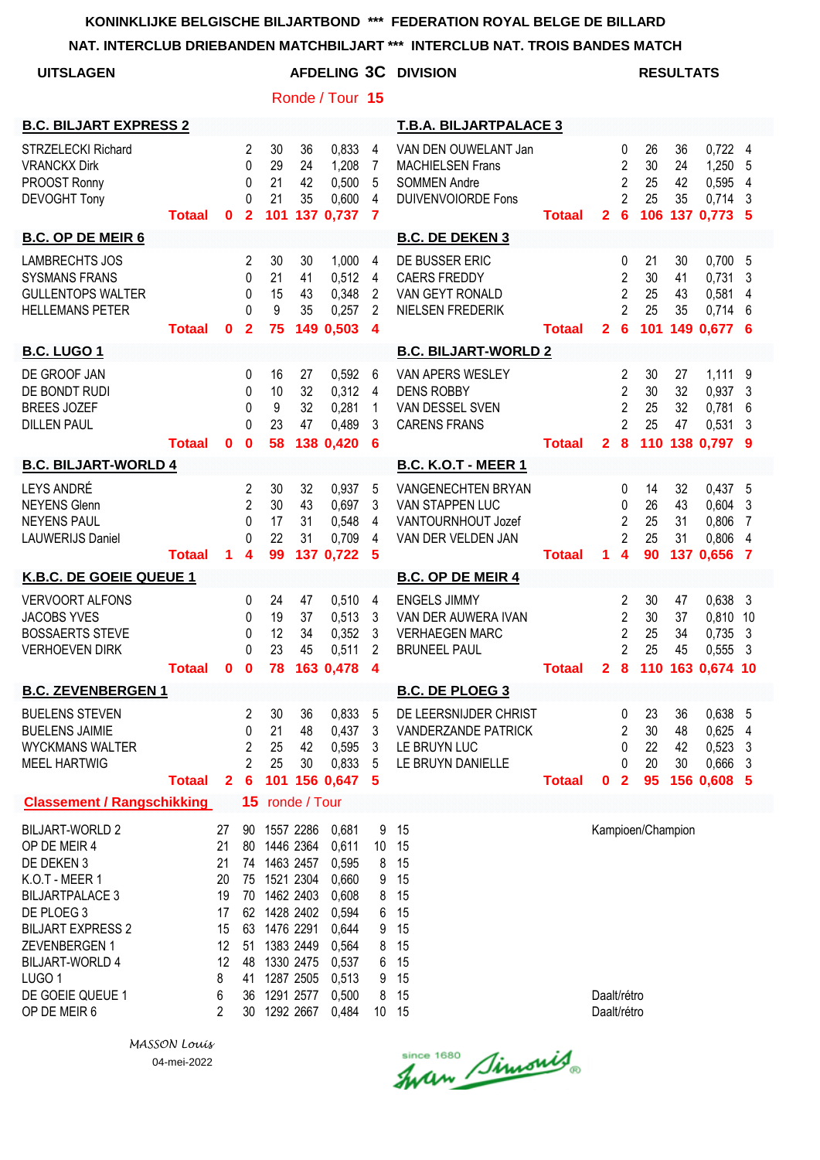| <b>UITSLAGEN</b>                                                                                                                                                                                                                               |               |                                                                   |                                                                       |                                                                                                                                                   |                      | Ronde / Tour 15                                                                                          |                                                                         | <b>AFDELING 3C DIVISION</b>                                                                         |               |                            |                                                                                          | <b>RESULTATS</b>           |                      |                                                            |                                           |
|------------------------------------------------------------------------------------------------------------------------------------------------------------------------------------------------------------------------------------------------|---------------|-------------------------------------------------------------------|-----------------------------------------------------------------------|---------------------------------------------------------------------------------------------------------------------------------------------------|----------------------|----------------------------------------------------------------------------------------------------------|-------------------------------------------------------------------------|-----------------------------------------------------------------------------------------------------|---------------|----------------------------|------------------------------------------------------------------------------------------|----------------------------|----------------------|------------------------------------------------------------|-------------------------------------------|
| <b>B.C. BILJART EXPRESS 2</b>                                                                                                                                                                                                                  |               |                                                                   |                                                                       |                                                                                                                                                   |                      |                                                                                                          |                                                                         | <b>T.B.A. BILJARTPALACE 3</b>                                                                       |               |                            |                                                                                          |                            |                      |                                                            |                                           |
| <b>STRZELECKI Richard</b><br><b>VRANCKX Dirk</b><br>PROOST Ronny<br><b>DEVOGHT Tony</b>                                                                                                                                                        | <b>Totaal</b> | 0                                                                 | 2<br>0<br>0<br>0<br>$\overline{2}$                                    | 30<br>29<br>21<br>21<br>101                                                                                                                       | 36<br>24<br>42<br>35 | 0,833<br>1,208<br>0,500<br>0,600<br>137 0,737                                                            | 4<br>7<br>5<br>4<br>$\overline{7}$                                      | VAN DEN OUWELANT Jan<br><b>MACHIELSEN Frans</b><br><b>SOMMEN Andre</b><br><b>DUIVENVOIORDE Fons</b> | <b>Totaal</b> | $\mathbf{2}$               | 0<br>$\overline{c}$<br>2<br>$\mathfrak{p}$<br>$6\phantom{1}6$                            | 26<br>30<br>25<br>25       | 36<br>24<br>42<br>35 | $0,722$ 4<br>1,250<br>0,595<br>0,714<br>106 137 0.773 5    | 5<br>$\overline{4}$<br>-3                 |
| <b>B.C. OP DE MEIR 6</b>                                                                                                                                                                                                                       |               |                                                                   |                                                                       |                                                                                                                                                   |                      |                                                                                                          |                                                                         | <b>B.C. DE DEKEN 3</b>                                                                              |               |                            |                                                                                          |                            |                      |                                                            |                                           |
| <b>LAMBRECHTS JOS</b><br><b>SYSMANS FRANS</b><br><b>GULLENTOPS WALTER</b><br><b>HELLEMANS PETER</b>                                                                                                                                            | <b>Totaal</b> | 0                                                                 | 2<br>0<br>0<br>$\Omega$<br>$\mathbf{2}$                               | 30<br>21<br>15<br>9<br>75                                                                                                                         | 30<br>41<br>43<br>35 | 1,000<br>0,512<br>0,348<br>0,257<br>149 0,503                                                            | 4<br>4<br>2<br>2<br>$\overline{\mathbf{4}}$                             | DE BUSSER ERIC<br><b>CAERS FREDDY</b><br>VAN GEYT RONALD<br>NIELSEN FREDERIK                        | <b>Totaal</b> | $\mathbf{2}$               | 0<br>2<br>2<br>$\overline{2}$<br>$6\phantom{1}6$                                         | 21<br>30<br>25<br>25       | 30<br>41<br>43<br>35 | 0,700, 5<br>0,731<br>0,581<br>$0,714$ 6<br>101 149 0,677 6 | 3<br>4                                    |
| <b>B.C. LUGO 1</b>                                                                                                                                                                                                                             |               |                                                                   |                                                                       |                                                                                                                                                   |                      |                                                                                                          |                                                                         | <b>B.C. BILJART-WORLD 2</b>                                                                         |               |                            |                                                                                          |                            |                      |                                                            |                                           |
| DE GROOF JAN<br>DE BONDT RUDI<br><b>BREES JOZEF</b><br><b>DILLEN PAUL</b>                                                                                                                                                                      | <b>Totaal</b> | $\mathbf 0$                                                       | 0<br>0<br>0<br>$\Omega$<br>$\mathbf 0$                                | 16<br>10<br>9<br>23<br>58                                                                                                                         | 27<br>32<br>32<br>47 | 0,592<br>0,312<br>0,281<br>0,489<br>138 0,420                                                            | 6<br>4<br>1<br>3<br>6                                                   | <b>VAN APERS WESLEY</b><br><b>DENS ROBBY</b><br>VAN DESSEL SVEN<br><b>CARENS FRANS</b>              | <b>Totaal</b> | $\mathbf{2}$               | $\overline{c}$<br>$\overline{c}$<br>$\overline{2}$<br>$\overline{2}$<br>$\boldsymbol{8}$ | 30<br>30<br>25<br>25       | 27<br>32<br>32<br>47 | 1,111<br>0,937<br>0,781<br>0,531<br>110 138 0,797 9        | 9<br>3<br>6<br>3                          |
| <b>B.C. BILJART-WORLD 4</b>                                                                                                                                                                                                                    |               |                                                                   |                                                                       |                                                                                                                                                   |                      |                                                                                                          |                                                                         | <b>B.C. K.O.T - MEER 1</b>                                                                          |               |                            |                                                                                          |                            |                      |                                                            |                                           |
| LEYS ANDRÉ<br><b>NEYENS Glenn</b><br><b>NEYENS PAUL</b><br><b>LAUWERIJS Daniel</b>                                                                                                                                                             | <b>Totaal</b> | 1.                                                                | $\overline{2}$<br>$\overline{2}$<br>0<br>0<br>$\overline{\mathbf{4}}$ | 30<br>30<br>17<br>22<br>99                                                                                                                        | 32<br>43<br>31<br>31 | 0,937<br>0,697<br>0,548<br>0,709<br>137 0,722                                                            | 5<br>3<br>4<br>4<br>5                                                   | <b>VANGENECHTEN BRYAN</b><br>VAN STAPPEN LUC<br>VANTOURNHOUT Jozef<br>VAN DER VELDEN JAN            | <b>Totaal</b> | 1.                         | 0<br>0<br>$\overline{c}$<br>$\overline{2}$<br>$\overline{\mathbf{4}}$                    | 14<br>26<br>25<br>25<br>90 | 32<br>43<br>31<br>31 | $0,437$ 5<br>0,604<br>0,806<br>0,806<br>137 0,656          | $\mathbf{3}$<br>$\overline{7}$<br>4<br>-7 |
| K.B.C. DE GOEIE QUEUE 1                                                                                                                                                                                                                        |               |                                                                   |                                                                       |                                                                                                                                                   |                      |                                                                                                          |                                                                         | <b>B.C. OP DE MEIR 4</b>                                                                            |               |                            |                                                                                          |                            |                      |                                                            |                                           |
| <b>VERVOORT ALFONS</b><br><b>JACOBS YVES</b><br><b>BOSSAERTS STEVE</b><br><b>VERHOEVEN DIRK</b>                                                                                                                                                | Totaal 0 0    |                                                                   | 0<br>0<br>0<br>0                                                      | 24<br>19<br>12<br>23<br>78                                                                                                                        | 47<br>37<br>34<br>45 | 0,510<br>0,513<br>0,352<br>0,511<br>163 0,478                                                            | 4<br>3<br>3<br>2<br>$\boldsymbol{4}$                                    | <b>ENGELS JIMMY</b><br>VAN DER AUWERA IVAN<br><b>VERHAEGEN MARC</b><br><b>BRUNEEL PAUL</b>          | <b>Totaal</b> | 28                         | 2<br>2<br>2<br>$\overline{2}$                                                            | 30<br>30<br>25<br>25       | 47<br>37<br>34<br>45 | 0,638<br>0,810 10<br>0,735<br>0,555<br>110 163 0,674 10    | -3<br>3<br>-3                             |
| <b>B.C. ZEVENBERGEN 1</b>                                                                                                                                                                                                                      |               |                                                                   |                                                                       |                                                                                                                                                   |                      |                                                                                                          |                                                                         | <b>B.C. DE PLOEG 3</b>                                                                              |               |                            |                                                                                          |                            |                      |                                                            |                                           |
| <b>BUELENS STEVEN</b><br><b>BUELENS JAIMIE</b><br><b>WYCKMANS WALTER</b><br><b>MEEL HARTWIG</b>                                                                                                                                                | <b>Totaal</b> | $\mathbf{2}$                                                      | 2<br>0<br>2<br>$\overline{2}$<br>$6\phantom{1}6$                      | 30<br>21<br>25<br>25                                                                                                                              | 36<br>48<br>42<br>30 | 0,833<br>0,437<br>0,595<br>0,833<br>101 156 0,647                                                        | 5<br>3<br>3<br>5<br>5                                                   | DE LEERSNIJDER CHRIST<br><b>VANDERZANDE PATRICK</b><br>LE BRUYN LUC<br>LE BRUYN DANIELLE            | <b>Totaal</b> | 0                          | 0<br>2<br>0<br>0<br>$\overline{2}$                                                       | 23<br>30<br>22<br>20<br>95 | 36<br>48<br>42<br>30 | 0,638 5<br>0,625<br>0,523<br>0,666<br>156 0,608 5          | 4<br>-3<br>3                              |
| <b>Classement / Rangschikking</b>                                                                                                                                                                                                              |               |                                                                   | 15                                                                    |                                                                                                                                                   | ronde / Tour         |                                                                                                          |                                                                         |                                                                                                     |               |                            |                                                                                          |                            |                      |                                                            |                                           |
| <b>BILJART-WORLD 2</b><br>OP DE MEIR 4<br>DE DEKEN 3<br>K.O.T - MEER 1<br><b>BILJARTPALACE 3</b><br>DE PLOEG 3<br><b>BILJART EXPRESS 2</b><br>ZEVENBERGEN 1<br><b>BILJART-WORLD 4</b><br>LUGO <sub>1</sub><br>DE GOEIE QUEUE 1<br>OP DE MEIR 6 |               | 27<br>21<br>21<br>20<br>19<br>17<br>15<br>12<br>12<br>8<br>6<br>2 | 90<br>80<br>75<br>70<br>63<br>51<br>48<br>41<br>36<br>30              | 1557 2286<br>1446 2364<br>74 1463 2457<br>1521 2304<br>1462 2403<br>62 1428 2402<br>1476 2291<br>1383 2449<br>1330 2475<br>1287 2505<br>1291 2577 | 1292 2667            | 0,681<br>0,611<br>0,595<br>0,660<br>0,608<br>0,594<br>0,644<br>0,564<br>0,537<br>0,513<br>0,500<br>0,484 | 9<br>10<br>8<br>9<br>8<br>6<br>9<br>8<br>6<br>9<br>8<br>10 <sup>°</sup> | 15<br>15<br>15<br>15<br>15<br>15<br>15<br>15<br>15<br>15<br>15<br>15                                |               | Daalt/rétro<br>Daalt/rétro |                                                                                          | Kampioen/Champion          |                      |                                                            |                                           |

*MASSON Louis* 04-mei-2022

Since 1680 Simonis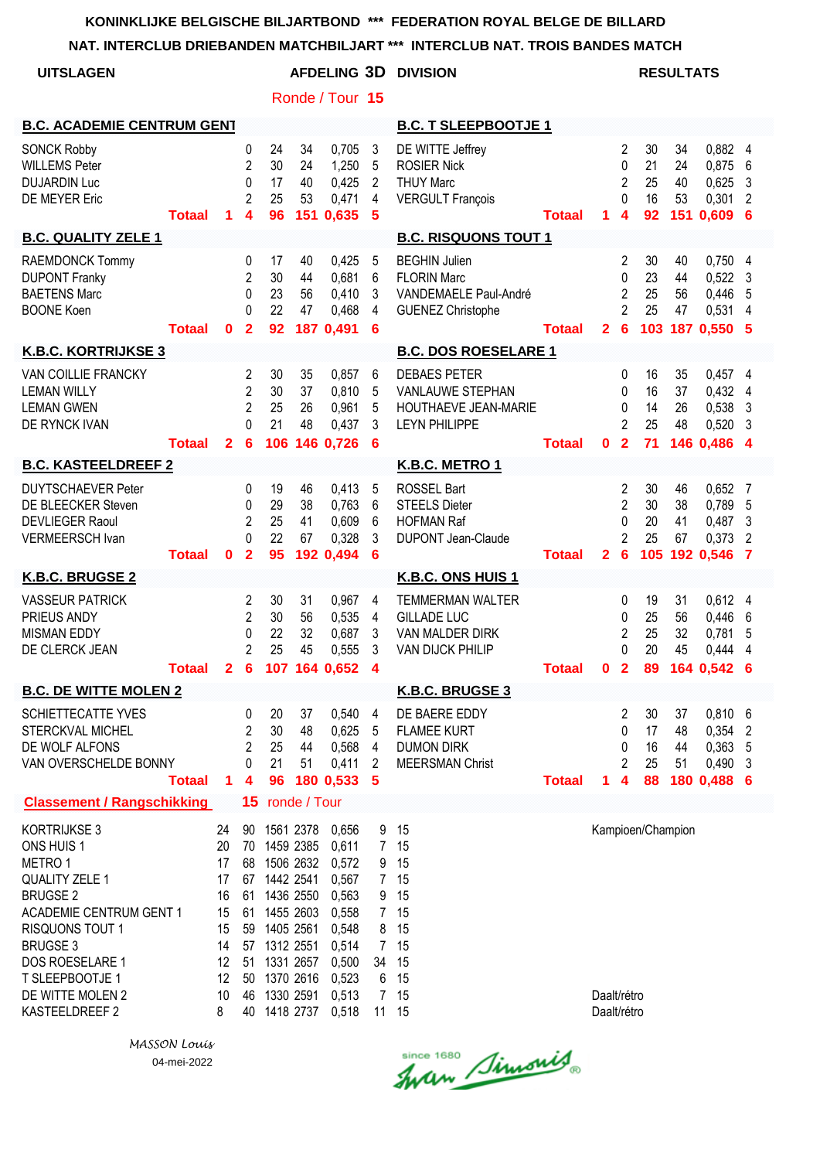**NAT. INTERCLUB DRIEBANDEN MATCHBILJART \*\*\* INTERCLUB NAT. TROIS BANDES MATCH**

| <b>UITSLAGEN</b>                                                                                                                                                                                                                                    |                                                                     |                                        |                                                                                                                     |                                                  |                                                                                                          | <b>AFDELING 3D</b><br>Ronde / Tour 15                   |                                                                                 | <b>DIVISION</b>                                                                                 |                            |              |                                                                                     |                            | <b>RESULTATS</b>                |                                                            |                                                 |
|-----------------------------------------------------------------------------------------------------------------------------------------------------------------------------------------------------------------------------------------------------|---------------------------------------------------------------------|----------------------------------------|---------------------------------------------------------------------------------------------------------------------|--------------------------------------------------|----------------------------------------------------------------------------------------------------------|---------------------------------------------------------|---------------------------------------------------------------------------------|-------------------------------------------------------------------------------------------------|----------------------------|--------------|-------------------------------------------------------------------------------------|----------------------------|---------------------------------|------------------------------------------------------------|-------------------------------------------------|
| <b>B.C. ACADEMIE CENTRUM GENT</b>                                                                                                                                                                                                                   |                                                                     |                                        |                                                                                                                     |                                                  |                                                                                                          |                                                         |                                                                                 | <b>B.C. T SLEEPBOOTJE 1</b>                                                                     |                            |              |                                                                                     |                            |                                 |                                                            |                                                 |
| <b>SONCK Robby</b><br><b>WILLEMS Peter</b><br><b>DUJARDIN Luc</b><br>DE MEYER Eric                                                                                                                                                                  | <b>Totaal</b>                                                       | 1                                      | 0<br>$\overline{2}$<br>$\mathbf 0$<br>$\overline{2}$<br>4                                                           | 24<br>30<br>17<br>25<br>96                       | 34<br>24<br>40<br>53                                                                                     | 0,705<br>1,250<br>0,425<br>0,471<br>151 0,635           | 3<br>5<br>$\overline{2}$<br>$\overline{\mathbf{4}}$<br>5                        | DE WITTE Jeffrey<br><b>ROSIER Nick</b><br><b>THUY Marc</b><br><b>VERGULT François</b>           | <b>Totaal</b>              | 1            | $\overline{c}$<br>$\mathbf 0$<br>$\overline{2}$<br>0<br>4                           | 30<br>21<br>25<br>16<br>92 | 34<br>24<br>40<br>53<br>151     | 0,882 4<br>0,875<br>0,625<br>0,301<br>0,609                | 6<br>3<br>2<br>6                                |
| <b>B.C. QUALITY ZELE 1</b>                                                                                                                                                                                                                          |                                                                     |                                        |                                                                                                                     |                                                  |                                                                                                          |                                                         |                                                                                 | <b>B.C. RISQUONS TOUT 1</b>                                                                     |                            |              |                                                                                     |                            |                                 |                                                            |                                                 |
| RAEMDONCK Tommy<br><b>DUPONT Franky</b><br><b>BAETENS Marc</b><br><b>BOONE Koen</b>                                                                                                                                                                 | <b>Totaal</b>                                                       | $\mathbf 0$                            | 0<br>$\overline{2}$<br>0<br>$\Omega$<br>$\mathbf{2}$                                                                | 17<br>30<br>23<br>22<br>92                       | 40<br>44<br>56<br>47                                                                                     | 0,425<br>0,681<br>0,410<br>0,468<br>187 0,491           | 5<br>6<br>3<br>4<br>6                                                           | <b>BEGHIN Julien</b><br><b>FLORIN Marc</b><br>VANDEMAELE Paul-André<br><b>GUENEZ Christophe</b> | <b>Totaal</b>              | $\mathbf{2}$ | 2<br>0<br>$\overline{c}$<br>$\overline{2}$<br>$6\phantom{1}6$                       | 30<br>23<br>25<br>25       | 40<br>44<br>56<br>47<br>103 187 | 0,750<br>0,522<br>0,446<br>0,531<br>0,550                  | 4<br>3<br>5<br>4<br>- 5                         |
| <b>K.B.C. KORTRIJKSE 3</b>                                                                                                                                                                                                                          |                                                                     |                                        |                                                                                                                     |                                                  |                                                                                                          |                                                         |                                                                                 | <b>B.C. DOS ROESELARE 1</b>                                                                     |                            |              |                                                                                     |                            |                                 |                                                            |                                                 |
| VAN COILLIE FRANCKY<br><b>LEMAN WILLY</b><br><b>LEMAN GWEN</b><br>DE RYNCK IVAN                                                                                                                                                                     | <b>Totaal</b>                                                       | $\mathbf{2}$                           | 2<br>$\overline{2}$<br>$\overline{2}$<br>$\Omega$<br>6                                                              | 30<br>30<br>25<br>21                             | 35<br>37<br>26<br>48                                                                                     | 0,857<br>0,810<br>0,961<br>0,437<br>106 146 0.726       | 6<br>5<br>5<br>3<br>6                                                           | <b>DEBAES PETER</b><br>VANLAUWE STEPHAN<br><b>HOUTHAEVE JEAN-MARIE</b><br><b>LEYN PHILIPPE</b>  | <b>Totaal</b>              | $\mathbf 0$  | 0<br>0<br>0<br>$\overline{c}$<br>$\overline{2}$                                     | 16<br>16<br>14<br>25<br>71 | 35<br>37<br>26<br>48            | $0,457$ 4<br>0,432<br>0,538<br>0,520<br>146 0,486 4        | 4<br>3<br>3                                     |
| <b>B.C. KASTEELDREEF 2</b>                                                                                                                                                                                                                          |                                                                     |                                        |                                                                                                                     |                                                  |                                                                                                          |                                                         |                                                                                 | K.B.C. METRO 1                                                                                  |                            |              |                                                                                     |                            |                                 |                                                            |                                                 |
| <b>DUYTSCHAEVER Peter</b><br>DE BLEECKER Steven<br><b>DEVLIEGER Raoul</b><br><b>VERMEERSCH Ivan</b>                                                                                                                                                 | <b>Totaal</b>                                                       | 0                                      | 0<br>0<br>$\overline{2}$<br>0<br>$\mathbf{2}$                                                                       | 19<br>29<br>25<br>22<br>95                       | 46<br>38<br>41<br>67                                                                                     | 0,413<br>0,763<br>0,609<br>0,328<br>192 0,494           | 5<br>6<br>6<br>3<br>6                                                           | <b>ROSSEL Bart</b><br><b>STEELS Dieter</b><br><b>HOFMAN Raf</b><br><b>DUPONT Jean-Claude</b>    | <b>Totaal</b>              | $\mathbf{2}$ | $\overline{\mathbf{c}}$<br>$\overline{2}$<br>0<br>$\overline{2}$<br>$6\phantom{1}6$ | 30<br>30<br>20<br>25       | 46<br>38<br>41<br>67            | 0,652<br>0,789<br>0,487<br>0,373<br>105 192 0,546          | 7<br>5<br>3<br>$\overline{2}$<br>$\overline{7}$ |
| K.B.C. BRUGSE 2                                                                                                                                                                                                                                     |                                                                     |                                        |                                                                                                                     |                                                  |                                                                                                          |                                                         |                                                                                 | K.B.C. ONS HUIS 1                                                                               |                            |              |                                                                                     |                            |                                 |                                                            |                                                 |
| <b>VASSEUR PATRICK</b><br>PRIEUS ANDY<br><b>MISMAN EDDY</b><br>DE CLERCK JEAN                                                                                                                                                                       | <b>Totaal</b>                                                       |                                        | 2<br>$\overline{2}$<br>0<br>$\overline{2}$                                                                          | 30<br>30<br>22<br>25                             | 31<br>56<br>32<br>45                                                                                     | 0,967<br>0,535<br>0,687<br>0,555<br>2 6 107 164 0,652 4 | 4<br>4<br>3<br>3                                                                | <b>TEMMERMAN WALTER</b><br><b>GILLADE LUC</b><br>VAN MALDER DIRK<br><b>VAN DIJCK PHILIP</b>     | <b>Totaal</b>              |              | 0<br>0<br>$\overline{c}$<br>0                                                       | 19<br>25<br>25<br>20       | 31<br>56<br>32<br>45            | $0,612$ 4<br>0,446<br>0,781<br>0,444<br>0 2 89 164 0,542 6 | 6<br>5<br>4                                     |
| <b>B.C. DE WITTE MOLEN 2</b>                                                                                                                                                                                                                        |                                                                     |                                        |                                                                                                                     |                                                  |                                                                                                          |                                                         |                                                                                 | K.B.C. BRUGSE 3                                                                                 |                            |              |                                                                                     |                            |                                 |                                                            |                                                 |
| <b>SCHIETTECATTE YVES</b><br>STERCKVAL MICHEL<br>DE WOLF ALFONS<br>VAN OVERSCHELDE BONNY                                                                                                                                                            | <b>Totaal</b>                                                       | 1                                      | 0<br>2<br>2<br>0<br>4                                                                                               | 20<br>30<br>25<br>21<br>96                       | 37<br>48<br>44<br>51                                                                                     | 0,540<br>0,625<br>0,568<br>0,411<br>180 0,533           | 4<br>5<br>4<br>$\overline{2}$<br>5                                              | DE BAERE EDDY<br><b>FLAMEE KURT</b><br><b>DUMON DIRK</b><br><b>MEERSMAN Christ</b>              | <b>Totaal</b>              | 1            | 2<br>0<br>0<br>2<br>4                                                               | 30<br>17<br>16<br>25<br>88 | 37<br>48<br>44<br>51            | $0,810$ 6<br>0,354<br>0,363<br>0,490<br>180 0,488 6        | $\overline{2}$<br>5<br>3                        |
| <b>Classement / Rangschikking</b>                                                                                                                                                                                                                   |                                                                     |                                        |                                                                                                                     | 15 ronde / Tour                                  |                                                                                                          |                                                         |                                                                                 |                                                                                                 |                            |              |                                                                                     |                            |                                 |                                                            |                                                 |
| <b>KORTRIJKSE 3</b><br>ONS HUIS 1<br>METRO 1<br><b>QUALITY ZELE 1</b><br><b>BRUGSE 2</b><br><b>ACADEMIE CENTRUM GENT 1</b><br><b>RISQUONS TOUT 1</b><br><b>BRUGSE 3</b><br>DOS ROESELARE 1<br>T SLEEPBOOTJE 1<br>DE WITTE MOLEN 2<br>KASTEELDREEF 2 | 24<br>20<br>17<br>17<br>16<br>15<br>15<br>14<br>12<br>12<br>10<br>8 | 90<br>68<br>61<br>61<br>59<br>51<br>50 | 1561 2378<br>70 1459 2385<br>67 1442 2541<br>1405 2561<br>57 1312 2551<br>1370 2616<br>46 1330 2591<br>40 1418 2737 | 1506 2632<br>1436 2550<br>1455 2603<br>1331 2657 | 0,656<br>0,611<br>0,572<br>0,567<br>0,563<br>0,558<br>0,548<br>0,514<br>0,500<br>0,523<br>0,513<br>0,518 | 9<br>7 <sup>7</sup><br>9<br>9<br>8<br>34<br>6           | 15<br>15<br>15<br>7 15<br>15<br>7 15<br>15<br>7 15<br>15<br>15<br>7 15<br>11 15 |                                                                                                 | Daalt/rétro<br>Daalt/rétro |              | Kampioen/Champion                                                                   |                            |                                 |                                                            |                                                 |

Since 1680 Simonis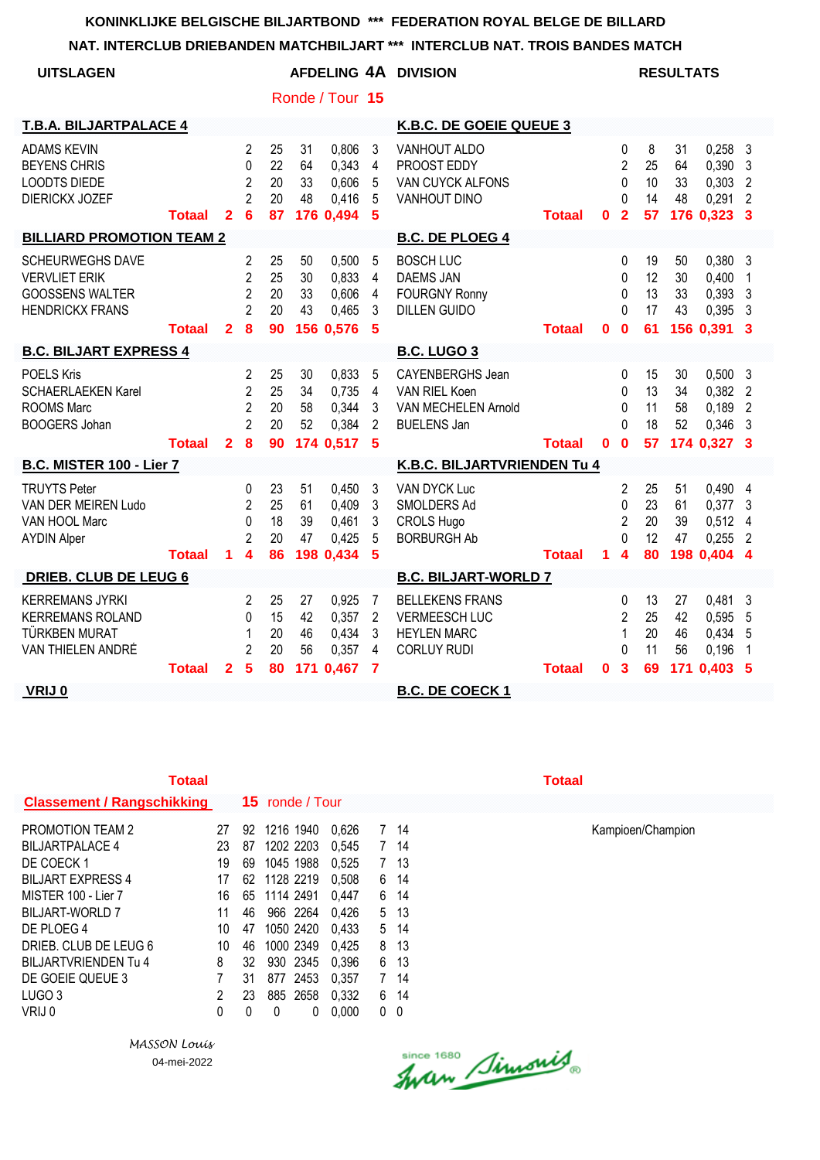#### **NAT. INTERCLUB DRIEBANDEN MATCHBILJART \*\*\* INTERCLUB NAT. TROIS BANDES MATCH**

| <b>UITSLAGEN</b>                                                                                    |               |                |                                                                              |                            |                      |                                               |                                                          | AFDELING 4A DIVISION                                                                       |               |          |                                                                   |                            | <b>RESULTATS</b>            |                                                 |                                                               |
|-----------------------------------------------------------------------------------------------------|---------------|----------------|------------------------------------------------------------------------------|----------------------------|----------------------|-----------------------------------------------|----------------------------------------------------------|--------------------------------------------------------------------------------------------|---------------|----------|-------------------------------------------------------------------|----------------------------|-----------------------------|-------------------------------------------------|---------------------------------------------------------------|
|                                                                                                     |               |                |                                                                              |                            |                      | Ronde / Tour 15                               |                                                          |                                                                                            |               |          |                                                                   |                            |                             |                                                 |                                                               |
| <b>T.B.A. BILJARTPALACE 4</b>                                                                       |               |                |                                                                              |                            |                      |                                               |                                                          | K.B.C. DE GOEIE QUEUE 3                                                                    |               |          |                                                                   |                            |                             |                                                 |                                                               |
| <b>ADAMS KEVIN</b><br><b>BEYENS CHRIS</b><br><b>LOODTS DIEDE</b><br><b>DIERICKX JOZEF</b>           | <b>Totaal</b> | $\overline{2}$ | 2<br>$\Omega$<br>$\overline{2}$<br>$\overline{2}$<br>6                       | 25<br>22<br>20<br>20<br>87 | 31<br>64<br>33<br>48 | 0,806<br>0,343<br>0,606<br>0,416<br>176 0,494 | 3<br>$\overline{4}$<br>5<br>5<br>5                       | <b>VANHOUT ALDO</b><br>PROOST EDDY<br>VAN CUYCK ALFONS<br><b>VANHOUT DINO</b>              | <b>Totaal</b> | $\bf{0}$ | 0<br>$\overline{2}$<br>$\mathbf{0}$<br>$\Omega$<br>$\overline{2}$ | 8<br>25<br>10<br>14<br>57  | 31<br>64<br>33<br>48        | 0,258<br>0,390<br>0,303<br>0,291<br>176 0,323   | -3<br>$\overline{3}$<br>$\overline{2}$<br>$\overline{2}$<br>3 |
| <b>BILLIARD PROMOTION TEAM 2</b>                                                                    |               |                |                                                                              |                            |                      |                                               |                                                          | <b>B.C. DE PLOEG 4</b>                                                                     |               |          |                                                                   |                            |                             |                                                 |                                                               |
| <b>SCHEURWEGHS DAVE</b><br><b>VERVLIET ERIK</b><br><b>GOOSSENS WALTER</b><br><b>HENDRICKX FRANS</b> | <b>Totaal</b> | $\mathbf{2}$   | 2<br>$\overline{2}$<br>$\overline{2}$<br>$\overline{2}$<br>8                 | 25<br>25<br>20<br>20<br>90 | 50<br>30<br>33<br>43 | 0,500<br>0,833<br>0,606<br>0,465<br>156 0,576 | 5<br>$\overline{4}$<br>$\overline{\mathbf{4}}$<br>3<br>5 | <b>BOSCH LUC</b><br><b>DAEMS JAN</b><br><b>FOURGNY Ronny</b><br><b>DILLEN GUIDO</b>        | <b>Totaal</b> | $\bf{0}$ | 0<br>0<br>$\mathbf{0}$<br>$\Omega$<br>$\bf{0}$                    | 19<br>12<br>13<br>17<br>61 | 50<br>30<br>33<br>43        | 0,380<br>0,400<br>0,393<br>0,395<br>156 0,391   | - 3<br>$\overline{1}$<br>-3<br>$\mathbf{3}$<br>3              |
| <b>B.C. BILJART EXPRESS 4</b>                                                                       |               |                |                                                                              |                            |                      |                                               |                                                          | <b>B.C. LUGO 3</b>                                                                         |               |          |                                                                   |                            |                             |                                                 |                                                               |
| <b>POELS Kris</b><br><b>SCHAERLAEKEN Karel</b><br><b>ROOMS Marc</b><br><b>BOOGERS Johan</b>         | <b>Totaal</b> | $\overline{2}$ | $\mathbf{2}$<br>$\overline{2}$<br>$\overline{2}$<br>$\overline{2}$<br>8      | 25<br>25<br>20<br>20<br>90 | 30<br>34<br>58<br>52 | 0,833<br>0,735<br>0,344<br>0,384<br>174 0,517 | 5<br>4<br>3<br>$\overline{2}$<br>5                       | <b>CAYENBERGHS Jean</b><br>VAN RIEL Koen<br>VAN MECHELEN Arnold<br><b>BUELENS Jan</b>      | Totaal        | $\bf{0}$ | $\Omega$<br>0<br>0<br>$\Omega$<br>$\mathbf 0$                     | 15<br>13<br>11<br>18<br>57 | 30<br>34<br>58<br>52        | 0,500<br>0,382<br>0,189<br>0,346<br>174 0,327 3 | - 3<br>$\overline{2}$<br>$\overline{2}$<br>$\mathbf{3}$       |
| <b>B.C. MISTER 100 - Lier 7</b>                                                                     |               |                |                                                                              |                            |                      |                                               |                                                          | K.B.C. BILJARTVRIENDEN Tu 4                                                                |               |          |                                                                   |                            |                             |                                                 |                                                               |
| <b>TRUYTS Peter</b><br>VAN DER MEIREN Ludo<br>VAN HOOL Marc<br><b>AYDIN Alper</b>                   | <b>Totaal</b> | 1              | $\Omega$<br>$\overline{2}$<br>$\Omega$<br>$\overline{2}$<br>$\boldsymbol{4}$ | 23<br>25<br>18<br>20<br>86 | 51<br>61<br>39<br>47 | 0,450<br>0,409<br>0,461<br>0,425<br>198 0,434 | 3<br>3<br>3<br>5<br>5                                    | <b>VAN DYCK Luc</b><br>SMOLDERS Ad<br><b>CROLS Hugo</b><br><b>BORBURGH Ab</b>              | Totaal        | 1        | 2<br>0<br>$\overline{2}$<br>$\Omega$<br>$\boldsymbol{4}$          | 25<br>23<br>20<br>12<br>80 | 51<br>61<br>39<br>47<br>198 | 0,490<br>0,377<br>0,512<br>0,255<br>0,404       | - 4<br>- 3<br>-4<br>$\overline{2}$<br>$\boldsymbol{4}$        |
| <b>DRIEB. CLUB DE LEUG 6</b>                                                                        |               |                |                                                                              |                            |                      |                                               |                                                          | <b>B.C. BILJART-WORLD 7</b>                                                                |               |          |                                                                   |                            |                             |                                                 |                                                               |
| <b>KERREMANS JYRKI</b><br><b>KERREMANS ROLAND</b><br>TÜRKBEN MURAT<br>VAN THIELEN ANDRÉ             |               |                | 2<br>$\Omega$<br>1<br>$\overline{2}$                                         | 25<br>15<br>20<br>20       | 27<br>42<br>46<br>56 | 0.925<br>0,357<br>0,434<br>0,357              | $\overline{7}$<br>$\overline{2}$<br>3<br>4               | <b>BELLEKENS FRANS</b><br><b>VERMEESCH LUC</b><br><b>HEYLEN MARC</b><br><b>CORLUY RUDI</b> |               |          | $\Omega$<br>$\mathfrak{p}$<br>1<br>$\Omega$                       | 13<br>25<br>20<br>11       | 27<br>42<br>46<br>56        | 0,481<br>0,595<br>0,434<br>0,196                | -3<br>5<br>5<br>$\overline{1}$                                |
| VRIJ 0                                                                                              | <b>Totaal</b> | $\mathbf{2}$   | 5                                                                            | 80                         | 171                  | 0,467                                         | 7                                                        | <b>B.C. DE COECK 1</b>                                                                     | <b>Totaal</b> | $\bf{0}$ | 3                                                                 | 69                         | 171                         | 0,403                                           | 5                                                             |

| Totaal                            |                |    |                        |            |   |      | Totaal |
|-----------------------------------|----------------|----|------------------------|------------|---|------|--------|
| <b>Classement / Rangschikking</b> |                |    | <b>15</b> ronde / Tour |            |   |      |        |
| <b>PROMOTION TEAM 2</b>           | 27             | 92 | 1216 1940              | 0.626      | 7 | 14   |        |
| <b>BILJARTPALACE 4</b>            | 23             | 87 | 1202 2203              | 0.545      | 7 | 14   |        |
| DE COECK 1                        | 19             | 69 | 1045 1988              | 0,525      | 7 | -13  |        |
| <b>BILJART EXPRESS 4</b>          | 17             |    | 62 1128 2219           | 0.508      | 6 | 14   |        |
| MISTER 100 - Lier 7               | 16             | 65 | 1114 2491              | 0.447      | 6 | 14   |        |
| BILJART-WORLD 7                   | 11             | 46 | 966 2264               | 0.426      | 5 | -13  |        |
| DE PLOEG 4                        | 10             | 47 | 1050 2420              | 0.433      |   | 5 14 |        |
| DRIEB. CLUB DE LEUG 6             | 10             | 46 | 1000 2349              | 0.425      | 8 | -13  |        |
| BILJARTVRIENDEN Tu 4              | 8              | 32 | 930 2345               | 0.396      | 6 | -13  |        |
| DE GOEIE QUEUE 3                  | 7              | 31 | 877 2453               | 0.357      | 7 | 14   |        |
| LUGO <sub>3</sub>                 | $\overline{2}$ | 23 | 885 2658               | 0,332      | 6 | -14  |        |
| VRIJ 0                            | 0              | 0  | 0                      | 0.000<br>0 | 0 | 0    |        |

*MASSON Louis* 04-mei-2022

Since 1680 Simonis

PROMOTION TEAM 2 27 92 1216 1940 0,626 7 14 Kampioen/Champion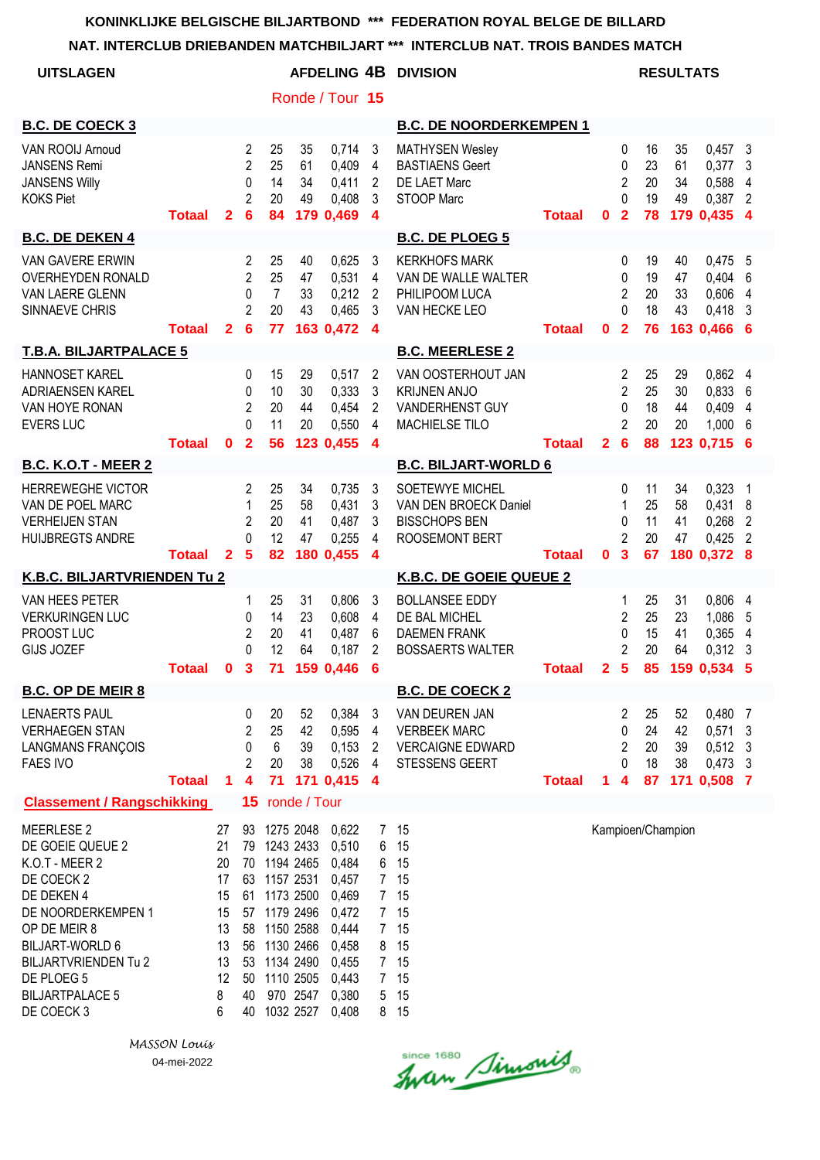|                                                                                                                                                                                                                                          |               |                                                                    |                                                                         |                                                                                                                                     |                                    |                                                                                                          |                                                                                                | NAT. INTERCLUB DRIEBANDEN MATCHBILJART *** INTERCLUB NAT. TROIS BANDES MATCH             |               |                |                                                                       |                            |                      |                                                                 |                |
|------------------------------------------------------------------------------------------------------------------------------------------------------------------------------------------------------------------------------------------|---------------|--------------------------------------------------------------------|-------------------------------------------------------------------------|-------------------------------------------------------------------------------------------------------------------------------------|------------------------------------|----------------------------------------------------------------------------------------------------------|------------------------------------------------------------------------------------------------|------------------------------------------------------------------------------------------|---------------|----------------|-----------------------------------------------------------------------|----------------------------|----------------------|-----------------------------------------------------------------|----------------|
| <b>UITSLAGEN</b>                                                                                                                                                                                                                         |               |                                                                    |                                                                         |                                                                                                                                     |                                    |                                                                                                          |                                                                                                | AFDELING 4B DIVISION                                                                     |               |                |                                                                       |                            | <b>RESULTATS</b>     |                                                                 |                |
|                                                                                                                                                                                                                                          |               |                                                                    |                                                                         |                                                                                                                                     |                                    | Ronde / Tour 15                                                                                          |                                                                                                |                                                                                          |               |                |                                                                       |                            |                      |                                                                 |                |
| <b>B.C. DE COECK 3</b>                                                                                                                                                                                                                   |               |                                                                    |                                                                         |                                                                                                                                     |                                    |                                                                                                          |                                                                                                | <b>B.C. DE NOORDERKEMPEN 1</b>                                                           |               |                |                                                                       |                            |                      |                                                                 |                |
| VAN ROOIJ Arnoud<br><b>JANSENS Remi</b><br><b>JANSENS Willy</b><br><b>KOKS Piet</b>                                                                                                                                                      | <b>Totaal</b> | $\overline{2}$                                                     | 2<br>$\overline{2}$<br>0<br>$\overline{2}$<br>$6\phantom{1}6$           | 25<br>25<br>14<br>20<br>84                                                                                                          | 35<br>61<br>34<br>49               | 0,714<br>0,409<br>0,411<br>0,408<br>179 0,469 4                                                          | -3<br>4<br>$\overline{2}$<br>3                                                                 | <b>MATHYSEN Wesley</b><br><b>BASTIAENS Geert</b><br>DE LAET Marc<br>STOOP Marc           | <b>Totaal</b> | $\mathbf{0}$   | 0<br>$\mathbf{0}$<br>2<br>$\Omega$<br>$\overline{2}$                  | 16<br>23<br>20<br>19<br>78 | 35<br>61<br>34<br>49 | $0,457$ 3<br>$0,377$ 3<br>0,588 4<br>0,387 2<br>179 0,435 4     |                |
| <b>B.C. DE DEKEN 4</b>                                                                                                                                                                                                                   |               |                                                                    |                                                                         |                                                                                                                                     |                                    |                                                                                                          |                                                                                                | <b>B.C. DE PLOEG 5</b>                                                                   |               |                |                                                                       |                            |                      |                                                                 |                |
| <b>VAN GAVERE ERWIN</b><br><b>OVERHEYDEN RONALD</b><br>VAN LAERE GLENN<br>SINNAEVE CHRIS                                                                                                                                                 | <b>Totaal</b> | 2 <sup>1</sup>                                                     | $\overline{2}$<br>$\overline{2}$<br>$\mathbf{0}$<br>$\overline{2}$<br>6 | 25<br>25<br>$\overline{7}$<br>20<br>77                                                                                              | 40<br>47<br>33<br>43               | 0,625<br>0,531<br>0,212<br>0,465<br>163 0,472                                                            | $\mathbf{3}$<br>$\overline{4}$<br>$\overline{2}$<br>3<br>$\overline{\mathbf{4}}$               | <b>KERKHOFS MARK</b><br>VAN DE WALLE WALTER<br>PHILIPOOM LUCA<br>VAN HECKE LEO           | <b>Totaal</b> | $\mathbf{0}$   | 0<br>0<br>$\overline{2}$<br>$\Omega$<br>$\overline{\mathbf{2}}$       | 19<br>19<br>20<br>18<br>76 | 40<br>47<br>33<br>43 | $0,475$ 5<br>0,404 6<br>0,606<br>$0,418$ 3<br>163 0,466 6       | $\overline{4}$ |
| <b>T.B.A. BILJARTPALACE 5</b>                                                                                                                                                                                                            |               |                                                                    |                                                                         |                                                                                                                                     |                                    |                                                                                                          |                                                                                                | <b>B.C. MEERLESE 2</b>                                                                   |               |                |                                                                       |                            |                      |                                                                 |                |
| <b>HANNOSET KAREL</b><br>ADRIAENSEN KAREL<br>VAN HOYE RONAN<br><b>EVERS LUC</b>                                                                                                                                                          | <b>Totaal</b> | $\mathbf{0}$                                                       | $\mathbf 0$<br>$\mathbf{0}$<br>2<br>$\Omega$<br>$\overline{2}$          | 15<br>10<br>20<br>11<br>56                                                                                                          | 29<br>30<br>44<br>20               | 0,517<br>0,333<br>0,454<br>0,550<br>123 0,455                                                            | $\overline{2}$<br>$\mathbf{3}$<br>2<br>$\overline{4}$<br>$\overline{4}$                        | VAN OOSTERHOUT JAN<br><b>KRIJNEN ANJO</b><br>VANDERHENST GUY<br>MACHIELSE TILO           | <b>Totaal</b> | 2 <sub>6</sub> | $\overline{2}$<br>$\overline{2}$<br>$\mathbf{0}$<br>$\overline{2}$    | 25<br>25<br>18<br>20<br>88 | 29<br>30<br>44<br>20 | 0,862 4<br>0,8336<br>0,409 4<br>1,0006<br>123 0.715 6           |                |
| <b>B.C. K.O.T - MEER 2</b>                                                                                                                                                                                                               |               |                                                                    |                                                                         |                                                                                                                                     |                                    |                                                                                                          |                                                                                                | <b>B.C. BILJART-WORLD 6</b>                                                              |               |                |                                                                       |                            |                      |                                                                 |                |
| <b>HERREWEGHE VICTOR</b><br>VAN DE POEL MARC<br><b>VERHEIJEN STAN</b><br><b>HUIJBREGTS ANDRE</b>                                                                                                                                         | <b>Totaal</b> | $\mathbf{2}$                                                       | $\overline{2}$<br>1<br>2<br>$\Omega$<br>$5\phantom{1}$                  | 25<br>25<br>20<br>12<br>82                                                                                                          | 34<br>58<br>41<br>47               | 0,735<br>0,431<br>0,487<br>0,255<br>180 0,455                                                            | 3<br>3<br>3<br>4<br>$\overline{\mathbf{4}}$                                                    | SOETEWYE MICHEL<br>VAN DEN BROECK Daniel<br><b>BISSCHOPS BEN</b><br>ROOSEMONT BERT       | <b>Totaal</b> | $\mathbf{0}$   | 0<br>$\mathbf 1$<br>$\mathbf{0}$<br>$\overline{2}$<br>$\mathbf{3}$    | 11<br>25<br>11<br>20<br>67 | 34<br>58<br>41<br>47 | $0,323$ 1<br>$0,431$ 8<br>$0,268$ 2<br>$0,425$ 2<br>180 0,372 8 |                |
| K.B.C. BILJARTVRIENDEN Tu 2                                                                                                                                                                                                              |               |                                                                    |                                                                         |                                                                                                                                     |                                    |                                                                                                          |                                                                                                | K.B.C. DE GOEIE QUEUE 2                                                                  |               |                |                                                                       |                            |                      |                                                                 |                |
| VAN HEES PETER<br><b>VERKURINGEN LUC</b><br>PROOST LUC<br><b>GIJS JOZEF</b>                                                                                                                                                              | <b>Totaal</b> | $\mathbf{0}$                                                       | 1<br>0<br>$\overline{2}$<br>0<br>$\mathbf{3}$                           | 25<br>14<br>20<br>12                                                                                                                | 31<br>23<br>41<br>64               | 0,806<br>0,608<br>0,487<br>0,187<br>71 159 0,446 6                                                       | 3<br>$\overline{4}$<br>6<br>$\overline{2}$                                                     | <b>BOLLANSEE EDDY</b><br>DE BAL MICHEL<br><b>DAEMEN FRANK</b><br><b>BOSSAERTS WALTER</b> | <b>Totaal</b> | 2 <sub>5</sub> | 1<br>$\overline{2}$<br>$\pmb{0}$<br>$\overline{2}$                    | 25<br>25<br>15<br>20       | 31<br>23<br>41<br>64 | 0,806 4<br>1,086<br>0,365<br>0,312<br>85 159 0,534 5            | 5<br>4<br>3    |
| <b>B.C. OP DE MEIR 8</b>                                                                                                                                                                                                                 |               |                                                                    |                                                                         |                                                                                                                                     |                                    |                                                                                                          |                                                                                                | <b>B.C. DE COECK 2</b>                                                                   |               |                |                                                                       |                            |                      |                                                                 |                |
| <b>LENAERTS PAUL</b><br><b>VERHAEGEN STAN</b><br><b>LANGMANS FRANÇOIS</b><br><b>FAES IVO</b>                                                                                                                                             | <b>Totaal</b> | $\mathbf 1$                                                        | 0<br>2<br>0<br>$\overline{2}$<br>$\overline{\mathbf{4}}$                | 20<br>25<br>6<br>20<br>71                                                                                                           | 52<br>42<br>39<br>38               | 0,384<br>0,595<br>0,153<br>0,526<br>171 0,415 4                                                          | $\mathbf{3}$<br>$\overline{4}$<br>$\overline{2}$<br>$\overline{4}$                             | VAN DEUREN JAN<br><b>VERBEEK MARC</b><br><b>VERCAIGNE EDWARD</b><br>STESSENS GEERT       | <b>Totaal</b> | 1.             | $\overline{2}$<br>0<br>$\overline{2}$<br>$\Omega$<br>$\boldsymbol{4}$ | 25<br>24<br>20<br>18<br>87 | 52<br>42<br>39<br>38 | 0,480 7<br>$0,571$ 3<br>$0,512$ 3<br>$0,473$ 3<br>171 0,508 7   |                |
| <b>Classement / Rangschikking</b>                                                                                                                                                                                                        |               |                                                                    | 15                                                                      |                                                                                                                                     | ronde / Tour                       |                                                                                                          |                                                                                                |                                                                                          |               |                |                                                                       |                            |                      |                                                                 |                |
| <b>MEERLESE 2</b><br>DE GOEIE QUEUE 2<br>K.O.T - MEER 2<br>DE COECK 2<br>DE DEKEN 4<br>DE NOORDERKEMPEN 1<br>OP DE MEIR 8<br><b>BILJART-WORLD 6</b><br><b>BILJARTVRIENDEN Tu 2</b><br>DE PLOEG 5<br><b>BILJARTPALACE 5</b><br>DE COECK 3 |               | 27<br>21<br>20<br>17<br>15<br>15<br>13<br>13<br>13<br>12<br>8<br>6 | 93<br>79<br>53<br>50<br>40<br>40                                        | 1243 2433<br>70 1194 2465<br>63 1157 2531<br>61 1173 2500<br>57 1179 2496<br>58 1150 2588<br>56 1130 2466<br>1134 2490<br>1110 2505 | 1275 2048<br>970 2547<br>1032 2527 | 0,622<br>0,510<br>0,484<br>0,457<br>0,469<br>0,472<br>0,444<br>0,458<br>0,455<br>0,443<br>0,380<br>0,408 | $\overline{7}$<br>6<br>6<br>7 <sup>7</sup><br>8<br>7 <sup>1</sup><br>$7\overline{ }$<br>5<br>8 | 15<br>15<br>15<br>7 15<br>7 15<br>7 15<br>15<br>15<br>15<br>15<br>15<br>15               |               |                |                                                                       |                            | Kampioen/Champion    |                                                                 |                |

Since 1680 Simonis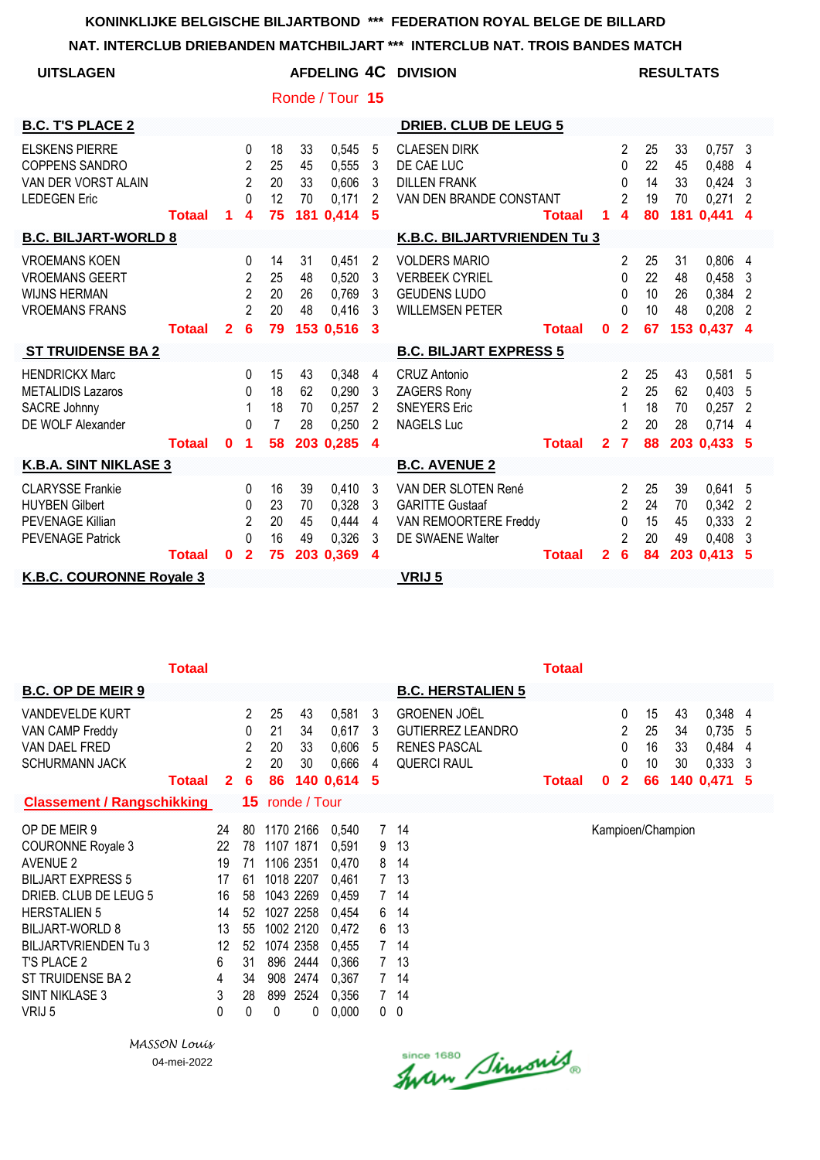| <b>UITSLAGEN</b>                                                                                       |               |                |                                                                                     |                                        |                      |                                               |                                                   | <b>AFDELING 4C DIVISION</b>                                                                    |               |                |                                                                              |                            | <b>RESULTATS</b>            |                                                       |                                                             |
|--------------------------------------------------------------------------------------------------------|---------------|----------------|-------------------------------------------------------------------------------------|----------------------------------------|----------------------|-----------------------------------------------|---------------------------------------------------|------------------------------------------------------------------------------------------------|---------------|----------------|------------------------------------------------------------------------------|----------------------------|-----------------------------|-------------------------------------------------------|-------------------------------------------------------------|
|                                                                                                        |               |                |                                                                                     |                                        |                      | Ronde / Tour 15                               |                                                   |                                                                                                |               |                |                                                                              |                            |                             |                                                       |                                                             |
| <b>B.C. T'S PLACE 2</b>                                                                                |               |                |                                                                                     |                                        |                      |                                               |                                                   | <b>DRIEB. CLUB DE LEUG 5</b>                                                                   |               |                |                                                                              |                            |                             |                                                       |                                                             |
| <b>ELSKENS PIERRE</b><br><b>COPPENS SANDRO</b><br>VAN DER VORST ALAIN<br><b>LEDEGEN Eric</b>           | <b>Totaal</b> | 1              | $\Omega$<br>$\overline{2}$<br>$\overline{2}$<br>$\Omega$<br>$\overline{\mathbf{4}}$ | 18<br>25<br>20<br>12<br>75             | 33<br>45<br>33<br>70 | 0,545<br>0,555<br>0,606<br>0,171<br>181 0,414 | 5<br>3<br>3<br>$\overline{2}$<br>5                | <b>CLAESEN DIRK</b><br>DE CAE LUC<br><b>DILLEN FRANK</b><br>VAN DEN BRANDE CONSTANT            | <b>Totaal</b> | 1              | $\overline{2}$<br>$\Omega$<br>0<br>$\overline{2}$<br>$\overline{\mathbf{4}}$ | 25<br>22<br>14<br>19<br>80 | 33<br>45<br>33<br>70<br>181 | $0,757$ 3<br>0,488<br>$0,424$ 3<br>0,271<br>0,441     | $\overline{4}$<br>$\overline{2}$<br>$\overline{\mathbf{4}}$ |
| <b>B.C. BILJART-WORLD 8</b>                                                                            |               |                |                                                                                     |                                        |                      |                                               |                                                   | K.B.C. BILJARTVRIENDEN Tu 3                                                                    |               |                |                                                                              |                            |                             |                                                       |                                                             |
| <b>VROEMANS KOEN</b><br><b>VROEMANS GEERT</b><br><b>WIJNS HERMAN</b><br><b>VROEMANS FRANS</b>          |               |                | $\mathbf{0}$<br>2<br>2<br>2                                                         | 14<br>25<br>20<br>20                   | 31<br>48<br>26<br>48 | 0,451<br>0,520<br>0,769<br>0,416              | 2<br>3<br>3<br>3                                  | <b>VOLDERS MARIO</b><br><b>VERBEEK CYRIEL</b><br><b>GEUDENS LUDO</b><br><b>WILLEMSEN PETER</b> |               |                | $\mathbf{2}$<br>0<br>0<br>$\Omega$                                           | 25<br>22<br>10<br>10       | 31<br>48<br>26<br>48        | 0,806 4<br>$0,458$ 3<br>0,384 2<br>0,208              | $\overline{2}$                                              |
|                                                                                                        | <b>Totaal</b> | $\overline{2}$ | 6                                                                                   | 79                                     |                      | 153 0,516                                     | 3                                                 |                                                                                                | <b>Totaal</b> | $\bf{0}$       | $\overline{2}$                                                               | 67                         |                             | 153 0,437 4                                           |                                                             |
| <b>ST TRUIDENSE BA 2</b>                                                                               |               |                |                                                                                     |                                        |                      |                                               |                                                   | <b>B.C. BILJART EXPRESS 5</b>                                                                  |               |                |                                                                              |                            |                             |                                                       |                                                             |
| <b>HENDRICKX Marc</b><br><b>METALIDIS Lazaros</b><br><b>SACRE Johnny</b><br>DE WOLF Alexander          | <b>Totaal</b> | $\bf{0}$       | $\Omega$<br>$\mathbf{0}$<br>$\Omega$<br>$\blacktriangleleft$                        | 15<br>18<br>18<br>$\overline{7}$<br>58 | 43<br>62<br>70<br>28 | 0,348<br>0,290<br>0,257<br>0,250<br>203 0,285 | 4<br>3<br>2<br>$\overline{2}$<br>$\boldsymbol{4}$ | <b>CRUZ Antonio</b><br><b>ZAGERS Rony</b><br><b>SNEYERS Eric</b><br><b>NAGELS Luc</b>          | <b>Totaal</b> | $\overline{2}$ | $\overline{2}$<br>$\overline{2}$<br>1<br>$\overline{c}$<br>$\overline{7}$    | 25<br>25<br>18<br>20<br>88 | 43<br>62<br>70<br>28        | 0,581 5<br>0,403<br>0,257<br>$0,714$ 4<br>203 0,433 5 | - 5<br>$\overline{2}$                                       |
| <b>K.B.A. SINT NIKLASE 3</b>                                                                           |               |                |                                                                                     |                                        |                      |                                               |                                                   | <b>B.C. AVENUE 2</b>                                                                           |               |                |                                                                              |                            |                             |                                                       |                                                             |
| <b>CLARYSSE Frankie</b><br><b>HUYBEN Gilbert</b><br><b>PEVENAGE Killian</b><br><b>PEVENAGE Patrick</b> | <b>Totaal</b> | $\bf{0}$       | $\Omega$<br>$\Omega$<br>$\overline{c}$<br>$\Omega$<br>$\overline{2}$                | 16<br>23<br>20<br>16<br>75             | 39<br>70<br>45<br>49 | 0,410<br>0,328<br>0,444<br>0,326<br>203 0,369 | 3<br>3<br>4<br>3<br>4                             | VAN DER SLOTEN René<br><b>GARITTE Gustaaf</b><br>VAN REMOORTERE Freddy<br>DE SWAENE Walter     | <b>Totaal</b> | $\overline{2}$ | $\overline{2}$<br>$\mathfrak{p}$<br>0<br>$\overline{2}$<br>6                 | 25<br>24<br>15<br>20<br>84 | 39<br>70<br>45<br>49<br>203 | 0,641<br>0,342<br>0,333<br>0,408<br>0,413,5           | 5<br>$\overline{\phantom{a}}$<br>$\overline{2}$<br>-3       |
| K.B.C. COURONNE Royale 3                                                                               |               |                |                                                                                     |                                        |                      |                                               |                                                   | VRIJ 5                                                                                         |               |                |                                                                              |                            |                             |                                                       |                                                             |

|                                   | <b>Totaal</b> |              |                |                        |           |           |                |                          | <b>Totaal</b> |   |              |    |                   |           |     |
|-----------------------------------|---------------|--------------|----------------|------------------------|-----------|-----------|----------------|--------------------------|---------------|---|--------------|----|-------------------|-----------|-----|
| <b>B.C. OP DE MEIR 9</b>          |               |              |                |                        |           |           |                | <b>B.C. HERSTALIEN 5</b> |               |   |              |    |                   |           |     |
| VANDEVELDE KURT                   |               |              | $\overline{2}$ | 25                     | 43        | 0,581     | 3              | <b>GROENEN JOEL</b>      |               |   | 0            | 15 | 43                | 0,348 4   |     |
| VAN CAMP Freddy                   |               |              | 0              | 21                     | 34        | 0,617     | 3              | <b>GUTIERREZ LEANDRO</b> |               |   | 2            | 25 | 34                | $0,735$ 5 |     |
| VAN DAEL FRED                     |               |              | 2              | 20                     | 33        | 0,606     | 5              | <b>RENES PASCAL</b>      |               |   | 0            | 16 | 33                | 0,484     | 4   |
| <b>SCHURMANN JACK</b>             |               |              | 2              | 20                     | 30        | 0,666     | 4              | <b>QUERCI RAUL</b>       |               |   | 0            | 10 | 30                | 0,333     | - 3 |
|                                   | <b>Totaal</b> | $\mathbf{2}$ | 6              | 86                     |           | 140 0,614 | 5              |                          | <b>Totaal</b> | 0 | $\mathbf{2}$ | 66 | 140               | 0,471     | -5  |
| <b>Classement / Rangschikking</b> |               |              |                | <b>15</b> ronde / Tour |           |           |                |                          |               |   |              |    |                   |           |     |
| OP DE MEIR 9                      |               | 24           | 80             |                        | 1170 2166 | 0,540     | $\overline{7}$ | 14                       |               |   |              |    | Kampioen/Champion |           |     |
| <b>COURONNE Royale 3</b>          |               | 22           | 78             |                        | 1107 1871 | 0,591     | 9              | 13                       |               |   |              |    |                   |           |     |
| <b>AVENUE 2</b>                   |               | 19           | 71             |                        | 1106 2351 | 0.470     | 8              | 14                       |               |   |              |    |                   |           |     |
| <b>BILJART EXPRESS 5</b>          |               | 17           | 61             |                        | 1018 2207 | 0,461     |                | 13                       |               |   |              |    |                   |           |     |
| DRIEB. CLUB DE LEUG 5             |               | 16           | 58             |                        | 1043 2269 | 0.459     | 7              | 14                       |               |   |              |    |                   |           |     |
| <b>HERSTALIEN 5</b>               |               | 14           | 52             |                        | 1027 2258 | 0,454     | 6              | 14                       |               |   |              |    |                   |           |     |
| <b>BILJART-WORLD 8</b>            |               | 13           | 55             |                        | 1002 2120 | 0.472     | 6              | 13                       |               |   |              |    |                   |           |     |
| <b>BILJARTVRIENDEN Tu 3</b>       |               | 12           | 52             |                        | 1074 2358 | 0,455     | $7^{\circ}$    | 14                       |               |   |              |    |                   |           |     |
| T'S PLACE 2                       |               | 6            | 31             | 896                    | 2444      | 0,366     |                | 13                       |               |   |              |    |                   |           |     |
| ST TRUIDENSE BA 2                 |               | 4            | 34             | 908                    | 2474      | 0,367     | $\overline{7}$ | 14                       |               |   |              |    |                   |           |     |
| SINT NIKLASE 3                    |               | 3            | 28             | 899                    | 2524      | 0,356     |                | 14                       |               |   |              |    |                   |           |     |
| VRIJ 5                            |               | 0            | 0              | 0                      | 0         | 0,000     | 0              | - 0                      |               |   |              |    |                   |           |     |

*MASSON Louis* 04-mei-2022

Since 1680 Simonis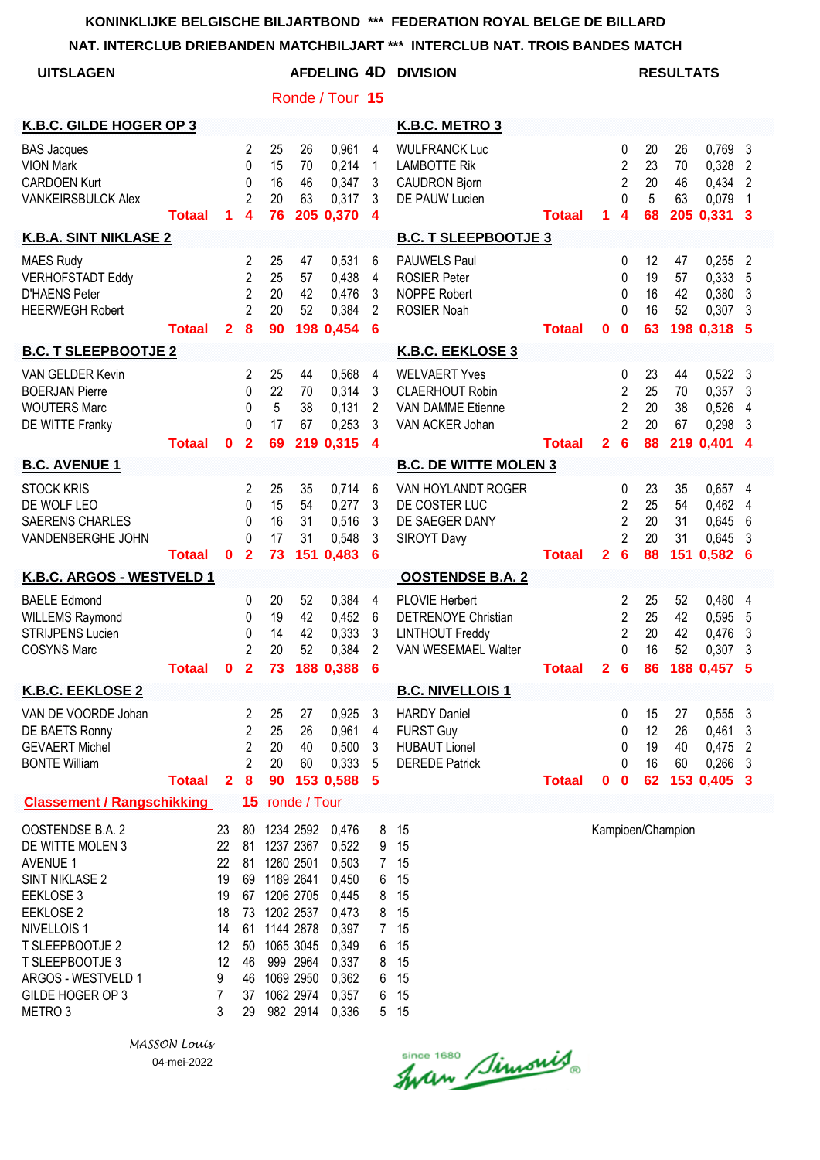**NAT. INTERCLUB DRIEBANDEN MATCHBILJART \*\*\* INTERCLUB NAT. TROIS BANDES MATCH**

| <b>UITSLAGEN</b>                                                                                                                                                                                                                           |               |                                                                   |                                                                |                            |                                                                                                                                           | AFDELING 4D                                                                                              |                                                                                    | <b>DIVISION</b>                                                                                      |               |              |                                                                            |                            | <b>RESULTATS</b>            |                                                 |                                                            |
|--------------------------------------------------------------------------------------------------------------------------------------------------------------------------------------------------------------------------------------------|---------------|-------------------------------------------------------------------|----------------------------------------------------------------|----------------------------|-------------------------------------------------------------------------------------------------------------------------------------------|----------------------------------------------------------------------------------------------------------|------------------------------------------------------------------------------------|------------------------------------------------------------------------------------------------------|---------------|--------------|----------------------------------------------------------------------------|----------------------------|-----------------------------|-------------------------------------------------|------------------------------------------------------------|
|                                                                                                                                                                                                                                            |               |                                                                   |                                                                |                            |                                                                                                                                           | Ronde / Tour 15                                                                                          |                                                                                    |                                                                                                      |               |              |                                                                            |                            |                             |                                                 |                                                            |
| K.B.C. GILDE HOGER OP 3                                                                                                                                                                                                                    |               |                                                                   |                                                                |                            |                                                                                                                                           |                                                                                                          |                                                                                    | K.B.C. METRO 3                                                                                       |               |              |                                                                            |                            |                             |                                                 |                                                            |
| <b>BAS Jacques</b><br><b>VION Mark</b><br><b>CARDOEN Kurt</b><br><b>VANKEIRSBULCK Alex</b>                                                                                                                                                 | <b>Totaal</b> | 1                                                                 | $\overline{2}$<br>$\mathbf{0}$<br>0<br>$\overline{2}$<br>4     | 25<br>15<br>16<br>20<br>76 | 26<br>70<br>46<br>63                                                                                                                      | 0,961<br>0,214<br>0,347<br>0,317<br>205 0,370                                                            | 4<br>$\mathbf{1}$<br>3<br>3<br>$\overline{\mathbf{4}}$                             | <b>WULFRANCK Luc</b><br><b>LAMBOTTE Rik</b><br><b>CAUDRON Bjorn</b><br>DE PAUW Lucien                | <b>Totaal</b> | 1.           | 0<br>$\overline{c}$<br>$\overline{2}$<br>$\Omega$<br>4                     | 20<br>23<br>20<br>5<br>68  | 26<br>70<br>46<br>63        | 0,769<br>0,328<br>0,434<br>0,079<br>205 0,331   | 3<br>$\overline{2}$<br>$\overline{2}$<br>$\mathbf{1}$<br>3 |
| <b>K.B.A. SINT NIKLASE 2</b>                                                                                                                                                                                                               |               |                                                                   |                                                                |                            |                                                                                                                                           |                                                                                                          |                                                                                    | <b>B.C. T SLEEPBOOTJE 3</b>                                                                          |               |              |                                                                            |                            |                             |                                                 |                                                            |
| <b>MAES Rudy</b><br><b>VERHOFSTADT Eddy</b><br><b>D'HAENS Peter</b><br><b>HEERWEGH Robert</b>                                                                                                                                              | <b>Totaal</b> | $\mathbf{2}$                                                      | 2<br>2<br>$\overline{2}$<br>$\overline{2}$<br>8                | 25<br>25<br>20<br>20<br>90 | 47<br>57<br>42<br>52                                                                                                                      | 0,531<br>0,438<br>0,476<br>0,384<br>198 0,454                                                            | 6<br>$\overline{4}$<br>3<br>2<br>6                                                 | <b>PAUWELS Paul</b><br><b>ROSIER Peter</b><br><b>NOPPE Robert</b><br><b>ROSIER Noah</b>              | <b>Totaal</b> | 0            | 0<br>$\mathbf{0}$<br>$\mathbf{0}$<br>$\Omega$<br>$\bf{0}$                  | 12<br>19<br>16<br>16<br>63 | 47<br>57<br>42<br>52        | 0,255<br>0,333<br>0,380<br>0,307<br>198 0,318 5 | $\overline{2}$<br>5<br>3<br>-3                             |
| <b>B.C. T SLEEPBOOTJE 2</b>                                                                                                                                                                                                                |               |                                                                   |                                                                |                            |                                                                                                                                           |                                                                                                          |                                                                                    | K.B.C. EEKLOSE 3                                                                                     |               |              |                                                                            |                            |                             |                                                 |                                                            |
| VAN GELDER Kevin<br><b>BOERJAN Pierre</b><br><b>WOUTERS Marc</b><br>DE WITTE Franky                                                                                                                                                        | <b>Totaal</b> | $\mathbf{0}$                                                      | 2<br>0<br>$\mathbf{0}$<br>$\Omega$<br>$\overline{2}$           | 25<br>22<br>5<br>17<br>69  | 44<br>70<br>38<br>67                                                                                                                      | 0,568<br>0,314<br>0,131<br>0,253<br>219 0,315                                                            | 4<br>3<br>$\overline{c}$<br>3<br>$\overline{\mathbf{4}}$                           | <b>WELVAERT Yves</b><br><b>CLAERHOUT Robin</b><br><b>VAN DAMME Etienne</b><br>VAN ACKER Johan        | <b>Totaal</b> | $\mathbf{2}$ | 0<br>$\overline{2}$<br>$\overline{2}$<br>$\overline{2}$<br>$6\phantom{1}6$ | 23<br>25<br>20<br>20<br>88 | 44<br>70<br>38<br>67        | 0,522<br>0,357<br>0,526<br>0,298<br>219 0,401   | 3<br>3<br>4<br>3<br>4                                      |
| <b>B.C. AVENUE 1</b>                                                                                                                                                                                                                       |               |                                                                   |                                                                |                            |                                                                                                                                           |                                                                                                          |                                                                                    | <b>B.C. DE WITTE MOLEN 3</b>                                                                         |               |              |                                                                            |                            |                             |                                                 |                                                            |
| <b>STOCK KRIS</b><br>DE WOLF LEO<br><b>SAERENS CHARLES</b><br>VANDENBERGHE JOHN                                                                                                                                                            | <b>Totaal</b> | $\mathbf{0}$                                                      | 2<br>0<br>0<br>0<br>$\overline{\mathbf{2}}$                    | 25<br>15<br>16<br>17<br>73 | 35<br>54<br>31<br>31<br>151                                                                                                               | 0,714<br>0,277<br>0,516<br>0,548<br>0,483                                                                | 6<br>3<br>3<br>3<br>$6\phantom{1}6$                                                | VAN HOYLANDT ROGER<br>DE COSTER LUC<br>DE SAEGER DANY<br><b>SIROYT Davy</b>                          | <b>Totaal</b> | $\mathbf{2}$ | 0<br>$\overline{2}$<br>$\overline{2}$<br>$\overline{2}$<br>$6\phantom{1}6$ | 23<br>25<br>20<br>20<br>88 | 35<br>54<br>31<br>31<br>151 | $0,657$ 4<br>0,462<br>0,645<br>0,645<br>0,582   | 4<br>6<br>3<br>6                                           |
| K.B.C. ARGOS - WESTVELD 1                                                                                                                                                                                                                  |               |                                                                   |                                                                |                            |                                                                                                                                           |                                                                                                          |                                                                                    | <b>OOSTENDSE B.A. 2</b>                                                                              |               |              |                                                                            |                            |                             |                                                 |                                                            |
| <b>BAELE Edmond</b><br><b>WILLEMS Raymond</b><br><b>STRIJPENS Lucien</b><br><b>COSYNS Marc</b>                                                                                                                                             | <b>Totaal</b> | 0                                                                 | 0<br>0<br>0<br>$\mathfrak{p}$<br>$\overline{2}$                | 20<br>19<br>14<br>20<br>73 | 52<br>42<br>42<br>52<br>188                                                                                                               | 0,384<br>0,452<br>0,333<br>0,384<br>0,388                                                                | 4<br>6<br>3<br>2<br>6                                                              | <b>PLOVIE Herbert</b><br><b>DETRENOYE Christian</b><br><b>LINTHOUT Freddy</b><br>VAN WESEMAEL Walter | <b>Totaal</b> | $\mathbf{2}$ | 2<br>$\overline{2}$<br>$\overline{2}$<br>0<br>$6\phantom{1}6$              | 25<br>25<br>20<br>16<br>86 | 52<br>42<br>42<br>52        | 0,480<br>0,595<br>0,476<br>0,307<br>188 0,457   | 4<br>5<br>3<br>3<br>5                                      |
| <b>K.B.C. EEKLOSE 2</b>                                                                                                                                                                                                                    |               |                                                                   |                                                                |                            |                                                                                                                                           |                                                                                                          |                                                                                    | <b>B.C. NIVELLOIS1</b>                                                                               |               |              |                                                                            |                            |                             |                                                 |                                                            |
| VAN DE VOORDE Johan<br>DE BAETS Ronny<br><b>GEVAERT Michel</b><br><b>BONTE William</b>                                                                                                                                                     | <b>Totaal</b> | $\mathbf{2}$                                                      | 2<br>2<br>2<br>$\overline{2}$<br>$\boldsymbol{8}$              | 25<br>25<br>20<br>20<br>90 | 27<br>26<br>40<br>60                                                                                                                      | 0,925<br>0,961<br>0,500<br>0,333<br>153 0,588                                                            | 3<br>4<br>3<br>5<br>-5                                                             | <b>HARDY Daniel</b><br><b>FURST Guy</b><br><b>HUBAUT Lionel</b><br><b>DEREDE Patrick</b>             | <b>Totaal</b> | 0            | 0<br>0<br>0<br>0<br>$\mathbf 0$                                            | 15<br>12<br>19<br>16<br>62 | 27<br>26<br>40<br>60        | 0,555<br>0,461<br>0,475<br>0,266<br>153 0,405 3 | $\mathbf{3}$<br>3<br>$\overline{2}$<br>3                   |
| <b>Classement / Rangschikking</b>                                                                                                                                                                                                          |               |                                                                   |                                                                | 15 ronde / Tour            |                                                                                                                                           |                                                                                                          |                                                                                    |                                                                                                      |               |              |                                                                            |                            |                             |                                                 |                                                            |
| OOSTENDSE B.A. 2<br>DE WITTE MOLEN 3<br><b>AVENUE 1</b><br><b>SINT NIKLASE 2</b><br>EEKLOSE 3<br>EEKLOSE 2<br>NIVELLOIS <sub>1</sub><br>T SLEEPBOOTJE 2<br>T SLEEPBOOTJE 3<br>ARGOS - WESTVELD 1<br>GILDE HOGER OP 3<br>METRO <sub>3</sub> |               | 23<br>22<br>22<br>19<br>19<br>18<br>14<br>12<br>12<br>9<br>7<br>3 | 81<br>81<br>69<br>67<br>73<br>61<br>50<br>46<br>46<br>37<br>29 | 80 1234 2592               | 1237 2367<br>1260 2501<br>1189 2641<br>1206 2705<br>1202 2537<br>1144 2878<br>1065 3045<br>999 2964<br>1069 2950<br>1062 2974<br>982 2914 | 0,476<br>0,522<br>0,503<br>0,450<br>0,445<br>0,473<br>0,397<br>0,349<br>0,337<br>0,362<br>0,357<br>0,336 | 8<br>9<br>$7\phantom{.}$<br>6<br>8<br>8<br>7 <sup>1</sup><br>6<br>8<br>6<br>6<br>5 | 15<br>15<br>15<br>15<br>15<br>15<br>15<br>15<br>15<br>15<br>15<br>15                                 |               |              |                                                                            |                            | Kampioen/Champion           |                                                 |                                                            |

Since 1680 Simonis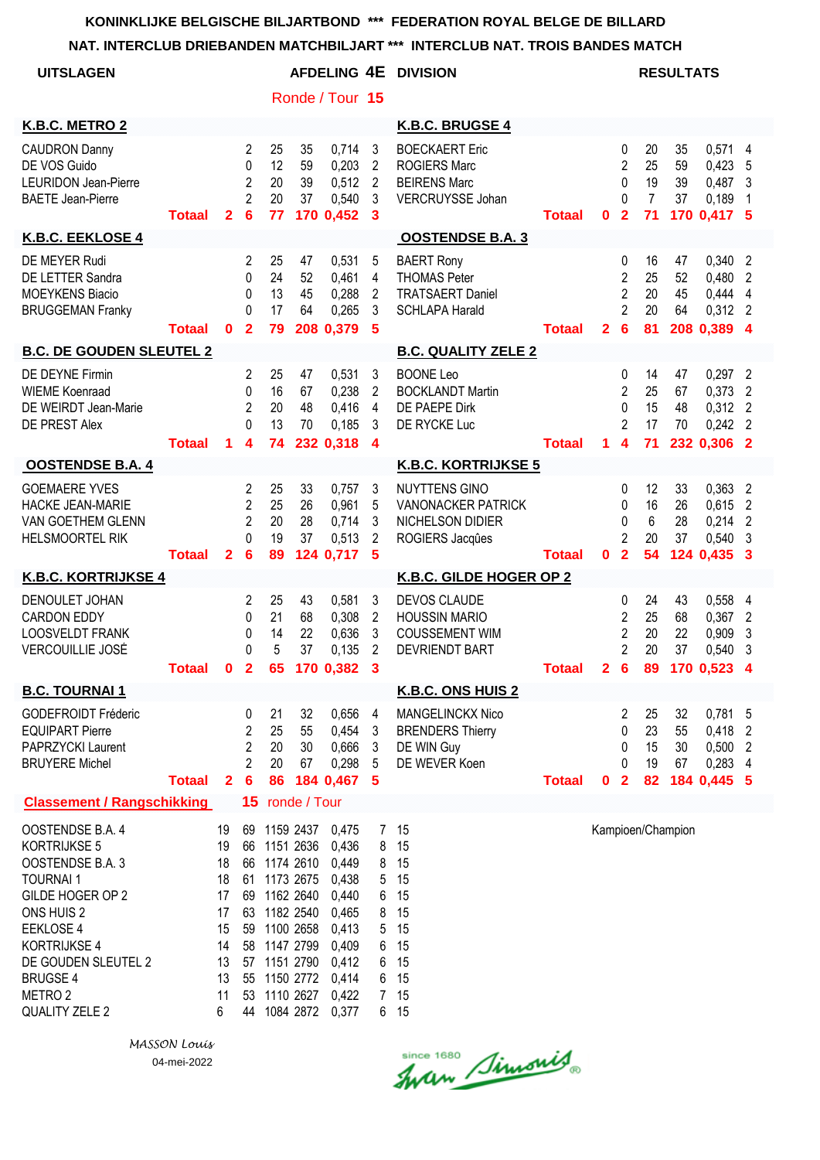| <b>UITSLAGEN</b>                                                                                                                                                                                                                       |               |                                                                     |                                                                            |                                                                                                                                                                              |                                   |                                                                                                                       |                                                                   | AFDELING 4E DIVISION                                                                          |               |              |                                                                            |                                        | <b>RESULTATS</b>     |                                                             |                                                         |
|----------------------------------------------------------------------------------------------------------------------------------------------------------------------------------------------------------------------------------------|---------------|---------------------------------------------------------------------|----------------------------------------------------------------------------|------------------------------------------------------------------------------------------------------------------------------------------------------------------------------|-----------------------------------|-----------------------------------------------------------------------------------------------------------------------|-------------------------------------------------------------------|-----------------------------------------------------------------------------------------------|---------------|--------------|----------------------------------------------------------------------------|----------------------------------------|----------------------|-------------------------------------------------------------|---------------------------------------------------------|
|                                                                                                                                                                                                                                        |               |                                                                     |                                                                            |                                                                                                                                                                              |                                   | Ronde / Tour 15                                                                                                       |                                                                   |                                                                                               |               |              |                                                                            |                                        |                      |                                                             |                                                         |
| K.B.C. METRO 2                                                                                                                                                                                                                         |               |                                                                     |                                                                            |                                                                                                                                                                              |                                   |                                                                                                                       |                                                                   | K.B.C. BRUGSE 4                                                                               |               |              |                                                                            |                                        |                      |                                                             |                                                         |
| <b>CAUDRON Danny</b><br>DE VOS Guido<br><b>LEURIDON Jean-Pierre</b><br><b>BAETE Jean-Pierre</b>                                                                                                                                        | <b>Totaal</b> | $\mathbf{2}$                                                        | 2<br>0<br>$\overline{2}$<br>$\overline{2}$<br>6                            | 25<br>12<br>20<br>20<br>77                                                                                                                                                   | 35<br>59<br>39<br>37              | 0,714<br>0,203<br>0,512<br>0,540<br>170 0,452                                                                         | 3<br>2<br>2<br>3<br>3                                             | <b>BOECKAERT Eric</b><br><b>ROGIERS Marc</b><br><b>BEIRENS Marc</b><br>VERCRUYSSE Johan       | <b>Totaal</b> | $\mathbf 0$  | 0<br>$\overline{2}$<br>0<br>0<br>$\overline{2}$                            | 20<br>25<br>19<br>$\overline{7}$<br>71 | 35<br>59<br>39<br>37 | 0,571 4<br>0,423<br>0,487<br>0,189<br>170 0,417 5           | 5<br>3<br>1                                             |
| K.B.C. EEKLOSE 4                                                                                                                                                                                                                       |               |                                                                     |                                                                            |                                                                                                                                                                              |                                   |                                                                                                                       |                                                                   | <b>OOSTENDSE B.A. 3</b>                                                                       |               |              |                                                                            |                                        |                      |                                                             |                                                         |
| DE MEYER Rudi<br>DE LETTER Sandra<br><b>MOEYKENS Biacio</b><br><b>BRUGGEMAN Franky</b>                                                                                                                                                 | <b>Totaal</b> | $\mathbf{0}$                                                        | 2<br>0<br>0<br>$\Omega$<br>$\overline{2}$                                  | 25<br>24<br>13<br>17<br>79                                                                                                                                                   | 47<br>52<br>45<br>64              | 0,531<br>0,461<br>0,288<br>0,265<br>208 0,379                                                                         | 5<br>4<br>$\overline{2}$<br>3<br>5                                | <b>BAERT Rony</b><br><b>THOMAS Peter</b><br><b>TRATSAERT Daniel</b><br><b>SCHLAPA Harald</b>  | <b>Totaal</b> | $\mathbf{2}$ | 0<br>$\overline{2}$<br>$\overline{2}$<br>$\overline{2}$<br>$6\phantom{1}6$ | 16<br>25<br>20<br>20<br>81             | 47<br>52<br>45<br>64 | 0,340<br>0,480<br>0,444<br>0,312<br>208 0,389 4             | $\overline{2}$<br>$\overline{2}$<br>4<br>$\overline{2}$ |
| <b>B.C. DE GOUDEN SLEUTEL 2</b>                                                                                                                                                                                                        |               |                                                                     |                                                                            |                                                                                                                                                                              |                                   |                                                                                                                       |                                                                   | <b>B.C. QUALITY ZELE 2</b>                                                                    |               |              |                                                                            |                                        |                      |                                                             |                                                         |
| DE DEYNE Firmin<br><b>WIEME Koenraad</b><br>DE WEIRDT Jean-Marie<br>DE PREST Alex                                                                                                                                                      | <b>Totaal</b> | 1.                                                                  | 2<br>$\Omega$<br>$\overline{2}$<br>0<br>$\overline{\mathbf{4}}$            | 25<br>16<br>20<br>13<br>74                                                                                                                                                   | 47<br>67<br>48<br>70              | 0,531<br>0,238<br>0,416<br>0.185<br>232 0,318                                                                         | 3<br>2<br>$\overline{4}$<br>3<br>$\overline{\mathbf{4}}$          | <b>BOONE Leo</b><br><b>BOCKLANDT Martin</b><br>DE PAEPE Dirk<br>DE RYCKE Luc                  | <b>Totaal</b> | 1            | 0<br>$\overline{2}$<br>$\Omega$<br>2<br>$\overline{\mathbf{4}}$            | 14<br>25<br>15<br>17<br>71             | 47<br>67<br>48<br>70 | 0,297<br>0,373<br>$0,312$ 2<br>$0,242$ 2<br>232 0,306 2     | $\overline{2}$<br>$\overline{2}$                        |
| <b>OOSTENDSE B.A. 4</b>                                                                                                                                                                                                                |               |                                                                     |                                                                            |                                                                                                                                                                              |                                   |                                                                                                                       |                                                                   | <b>K.B.C. KORTRIJKSE 5</b>                                                                    |               |              |                                                                            |                                        |                      |                                                             |                                                         |
| <b>GOEMAERE YVES</b><br><b>HACKE JEAN-MARIE</b><br>VAN GOETHEM GLENN<br>HELSMOORTEL RIK                                                                                                                                                | <b>Totaal</b> | $\overline{2}$                                                      | 2<br>2<br>$\overline{2}$<br>$\Omega$<br>6                                  | 25<br>25<br>20<br>19<br>89                                                                                                                                                   | 33<br>26<br>28<br>37              | 0,757<br>0,961<br>0,714<br>0,513<br>124 0,717                                                                         | 3<br>5<br>3<br>$\overline{2}$<br>5                                | <b>NUYTTENS GINO</b><br><b>VANONACKER PATRICK</b><br>NICHELSON DIDIER<br>ROGIERS Jacques      | <b>Totaal</b> | $\mathbf 0$  | 0<br>0<br>0<br>$\overline{2}$<br>$\overline{2}$                            | 12<br>16<br>6<br>20<br>54              | 33<br>26<br>28<br>37 | 0,363<br>0,615<br>0,214<br>0,540<br>124 0,435 3             | $\overline{2}$<br>$\overline{2}$<br>$\overline{2}$<br>3 |
| <b>K.B.C. KORTRIJKSE 4</b>                                                                                                                                                                                                             |               |                                                                     |                                                                            |                                                                                                                                                                              |                                   |                                                                                                                       |                                                                   | K.B.C. GILDE HOGER OP 2                                                                       |               |              |                                                                            |                                        |                      |                                                             |                                                         |
| DENOULET JOHAN<br><b>CARDON EDDY</b><br><b>LOOSVELDT FRANK</b><br><b>VERCOUILLIE JOSÉ</b>                                                                                                                                              | <b>Totaal</b> | $\mathbf 0$                                                         | 2<br>$\mathbf{0}$<br>0<br>0<br>$\overline{\mathbf{2}}$                     | 25<br>21<br>14<br>5<br>65                                                                                                                                                    | 43<br>68<br>22<br>37              | 0,581<br>0,308<br>0,636<br>0,135<br>170 0,382                                                                         | 3<br>$\overline{2}$<br>3<br>2<br>3                                | <b>DEVOS CLAUDE</b><br><b>HOUSSIN MARIO</b><br><b>COUSSEMENT WIM</b><br><b>DEVRIENDT BART</b> | <b>Totaal</b> | $\mathbf{2}$ | 0<br>2<br>$\overline{2}$<br>$\overline{2}$<br>$6\phantom{1}6$              | 24<br>25<br>20<br>20<br>89             | 43<br>68<br>22<br>37 | 0,558<br>0,367<br>0,909<br>0,540<br>170 0,523               | 4<br>$\overline{2}$<br>3<br>3<br>4                      |
| <b>B.C. TOURNAI 1</b>                                                                                                                                                                                                                  |               |                                                                     |                                                                            |                                                                                                                                                                              |                                   |                                                                                                                       |                                                                   | <b>K.B.C. ONS HUIS 2</b>                                                                      |               |              |                                                                            |                                        |                      |                                                             |                                                         |
| <b>GODEFROIDT Fréderic</b><br><b>EQUIPART Pierre</b><br>PAPRZYCKI Laurent<br><b>BRUYERE Michel</b>                                                                                                                                     | <b>Totaal</b> | $\overline{2}$                                                      | 0<br>$\overline{2}$<br>$\overline{2}$<br>$\overline{c}$<br>$6\phantom{1}6$ | 21<br>25<br>20<br>20<br>86                                                                                                                                                   | 32<br>55<br>30 <sup>°</sup><br>67 | 0,656<br>0,454<br>0,666<br>0,298<br>184 0,467 5                                                                       | $\overline{4}$<br>3<br>3<br>5                                     | <b>MANGELINCKX Nico</b><br><b>BRENDERS Thierry</b><br>DE WIN Guy<br>DE WEVER Koen             | <b>Totaal</b> | 0            | 2<br>0<br>0<br>0<br>$\overline{2}$                                         | 25<br>23<br>15<br>19<br>82             | 32<br>55<br>30<br>67 | 0,781 5<br>0,418 2<br>$0,500$ 2<br>$0,283$ 4<br>184 0,445 5 |                                                         |
| <b>Classement / Rangschikking</b>                                                                                                                                                                                                      |               |                                                                     | 15                                                                         | ronde / Tour                                                                                                                                                                 |                                   |                                                                                                                       |                                                                   |                                                                                               |               |              |                                                                            |                                        |                      |                                                             |                                                         |
| OOSTENDSE B.A. 4<br>KORTRIJKSE 5<br>OOSTENDSE B.A. 3<br><b>TOURNAI1</b><br>GILDE HOGER OP 2<br>ONS HUIS 2<br>EEKLOSE 4<br><b>KORTRIJKSE 4</b><br>DE GOUDEN SLEUTEL 2<br><b>BRUGSE 4</b><br>METRO <sub>2</sub><br><b>QUALITY ZELE 2</b> |               | 19<br>19<br>18<br>18<br>17<br>17<br>15<br>14<br>13<br>13<br>11<br>6 |                                                                            | 66 1151 2636<br>66 1174 2610<br>61 1173 2675<br>69 1162 2640<br>63 1182 2540<br>59 1100 2658<br>58 1147 2799<br>57 1151 2790<br>55 1150 2772<br>53 1110 2627<br>44 1084 2872 |                                   | 69 1159 2437 0,475<br>0,436<br>0,449<br>0,438<br>0,440<br>0,465<br>0,413<br>0,409<br>0,412<br>0,414<br>0,422<br>0,377 | 7<br>8<br>8<br>5<br>6<br>8<br>5<br>6<br>6<br>6<br>$7\overline{ }$ | 15<br>15<br>15<br>15<br>15<br>15<br>15<br>15<br>15<br>15<br>15<br>6 15                        |               |              |                                                                            |                                        | Kampioen/Champion    |                                                             |                                                         |

*MASSON Louis* 04-mei-2022

Since 1680 Simonis